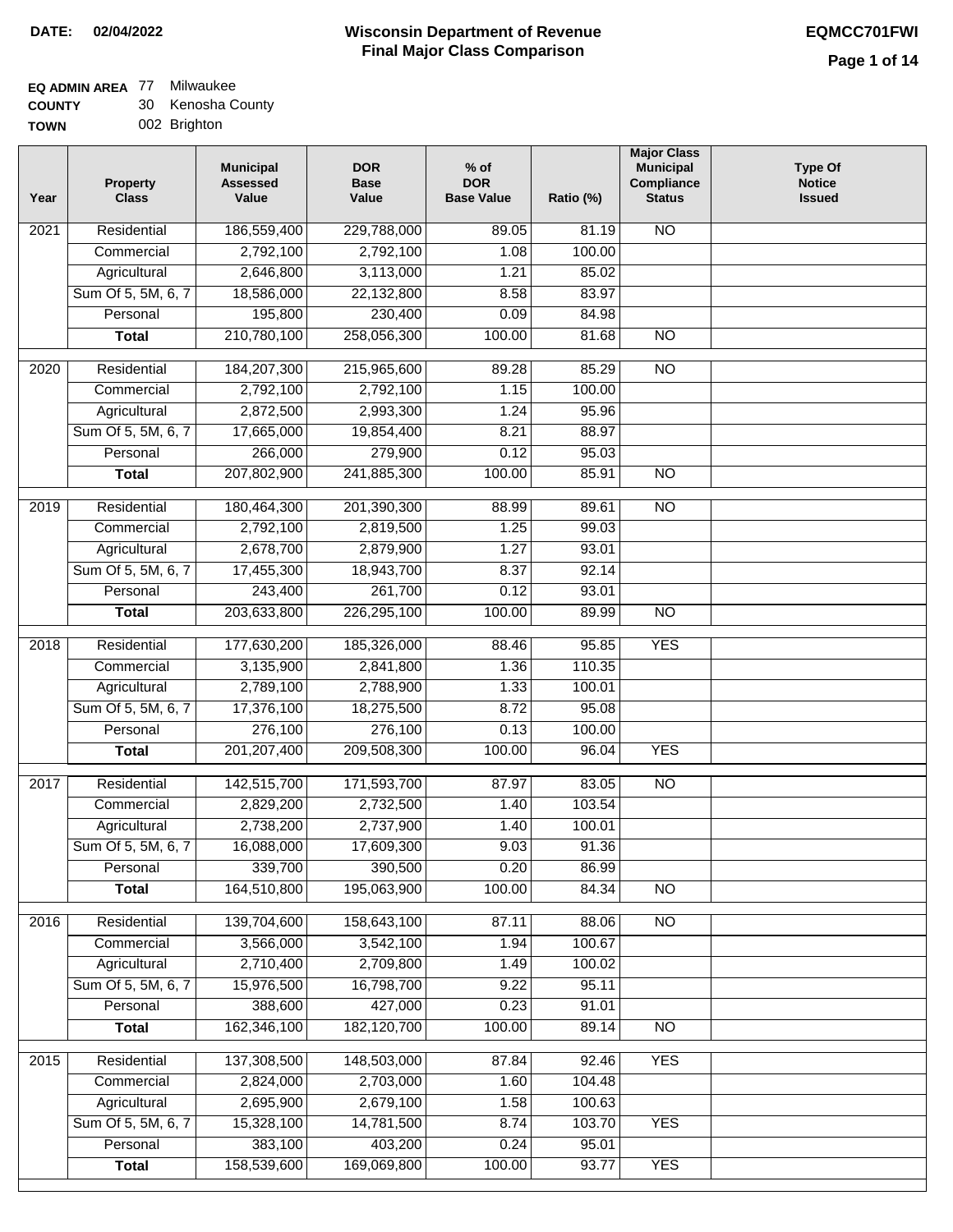# **EQ ADMIN AREA** 77 Milwaukee

**COUNTY TOWN** 30 Kenosha County 002 Brighton

| Year | <b>Property</b><br><b>Class</b> | <b>Municipal</b><br><b>Assessed</b><br>Value | <b>DOR</b><br><b>Base</b><br>Value | $%$ of<br><b>DOR</b><br><b>Base Value</b> | Ratio (%) | <b>Major Class</b><br><b>Municipal</b><br><b>Compliance</b><br><b>Status</b> | <b>Type Of</b><br><b>Notice</b><br><b>Issued</b> |
|------|---------------------------------|----------------------------------------------|------------------------------------|-------------------------------------------|-----------|------------------------------------------------------------------------------|--------------------------------------------------|
| 2021 | Residential                     | 186,559,400                                  | 229,788,000                        | 89.05                                     | 81.19     | $\overline{NO}$                                                              |                                                  |
|      | Commercial                      | 2,792,100                                    | 2,792,100                          | 1.08                                      | 100.00    |                                                                              |                                                  |
|      | Agricultural                    | 2,646,800                                    | 3,113,000                          | 1.21                                      | 85.02     |                                                                              |                                                  |
|      | Sum Of 5, 5M, 6, 7              | 18,586,000                                   | 22,132,800                         | 8.58                                      | 83.97     |                                                                              |                                                  |
|      | Personal                        | 195,800                                      | 230,400                            | 0.09                                      | 84.98     |                                                                              |                                                  |
|      | <b>Total</b>                    | 210,780,100                                  | 258,056,300                        | 100.00                                    | 81.68     | $\overline{NO}$                                                              |                                                  |
| 2020 | Residential                     | 184,207,300                                  | 215,965,600                        | 89.28                                     | 85.29     | NO                                                                           |                                                  |
|      | Commercial                      | 2,792,100                                    | 2,792,100                          | 1.15                                      | 100.00    |                                                                              |                                                  |
|      | Agricultural                    | 2,872,500                                    | 2,993,300                          | 1.24                                      | 95.96     |                                                                              |                                                  |
|      | Sum Of 5, 5M, 6, 7              | 17,665,000                                   | 19,854,400                         | 8.21                                      | 88.97     |                                                                              |                                                  |
|      | Personal                        | 266,000                                      | 279,900                            | 0.12                                      | 95.03     |                                                                              |                                                  |
|      | <b>Total</b>                    | 207,802,900                                  | 241,885,300                        | 100.00                                    | 85.91     | <b>NO</b>                                                                    |                                                  |
| 2019 | Residential                     | 180,464,300                                  | 201,390,300                        | 88.99                                     | 89.61     | <b>NO</b>                                                                    |                                                  |
|      | Commercial                      | 2,792,100                                    | 2,819,500                          | 1.25                                      | 99.03     |                                                                              |                                                  |
|      | Agricultural                    | 2,678,700                                    | 2,879,900                          | 1.27                                      | 93.01     |                                                                              |                                                  |
|      | Sum Of 5, 5M, 6, 7              | 17,455,300                                   | 18,943,700                         | 8.37                                      | 92.14     |                                                                              |                                                  |
|      | Personal                        | 243,400                                      | 261,700                            | 0.12                                      | 93.01     |                                                                              |                                                  |
|      | <b>Total</b>                    | 203,633,800                                  | 226,295,100                        | 100.00                                    | 89.99     | $\overline{NO}$                                                              |                                                  |
|      |                                 |                                              |                                    |                                           |           |                                                                              |                                                  |
| 2018 | Residential                     | 177,630,200                                  | 185,326,000                        | 88.46                                     | 95.85     | <b>YES</b>                                                                   |                                                  |
|      | Commercial                      | 3,135,900                                    | 2,841,800                          | 1.36                                      | 110.35    |                                                                              |                                                  |
|      | Agricultural                    | 2,789,100                                    | 2,788,900                          | 1.33                                      | 100.01    |                                                                              |                                                  |
|      | Sum Of 5, 5M, 6, 7              | 17,376,100                                   | 18,275,500                         | 8.72                                      | 95.08     |                                                                              |                                                  |
|      | Personal                        | 276,100                                      | 276,100                            | 0.13                                      | 100.00    |                                                                              |                                                  |
|      | <b>Total</b>                    | 201, 207, 400                                | 209,508,300                        | 100.00                                    | 96.04     | <b>YES</b>                                                                   |                                                  |
| 2017 | Residential                     | 142,515,700                                  | 171,593,700                        | 87.97                                     | 83.05     | $\overline{NO}$                                                              |                                                  |
|      | Commercial                      | 2,829,200                                    | 2,732,500                          | 1.40                                      | 103.54    |                                                                              |                                                  |
|      | Agricultural                    | 2,738,200                                    | 2,737,900                          | 1.40                                      | 100.01    |                                                                              |                                                  |
|      | Sum Of 5, 5M, 6, 7              | 16,088,000                                   | 17,609,300                         | 9.03                                      | 91.36     |                                                                              |                                                  |
|      | Personal                        | 339,700                                      | 390,500                            | 0.20                                      | 86.99     |                                                                              |                                                  |
|      | <b>Total</b>                    | 164,510,800                                  | 195,063,900                        | 100.00                                    | 84.34     | $\overline{NO}$                                                              |                                                  |
| 2016 | Residential                     | 139,704,600                                  | 158,643,100                        | 87.11                                     | 88.06     | N <sub>O</sub>                                                               |                                                  |
|      | Commercial                      | 3,566,000                                    | 3,542,100                          | 1.94                                      | 100.67    |                                                                              |                                                  |
|      | Agricultural                    | 2,710,400                                    | 2,709,800                          | 1.49                                      | 100.02    |                                                                              |                                                  |
|      | Sum Of 5, 5M, 6, 7              | 15,976,500                                   | 16,798,700                         | 9.22                                      | 95.11     |                                                                              |                                                  |
|      | Personal                        | 388,600                                      | 427,000                            | 0.23                                      | 91.01     |                                                                              |                                                  |
|      | <b>Total</b>                    | 162,346,100                                  | 182,120,700                        | 100.00                                    | 89.14     | $\overline{NO}$                                                              |                                                  |
| 2015 | Residential                     | 137,308,500                                  | 148,503,000                        | 87.84                                     | 92.46     | <b>YES</b>                                                                   |                                                  |
|      | Commercial                      | 2,824,000                                    | 2,703,000                          | 1.60                                      | 104.48    |                                                                              |                                                  |
|      | Agricultural                    | 2,695,900                                    | 2,679,100                          | 1.58                                      | 100.63    |                                                                              |                                                  |
|      | Sum Of 5, 5M, 6, 7              | 15,328,100                                   | 14,781,500                         | 8.74                                      | 103.70    | <b>YES</b>                                                                   |                                                  |
|      | Personal                        | 383,100                                      | 403,200                            | 0.24                                      | 95.01     |                                                                              |                                                  |
|      | <b>Total</b>                    | 158,539,600                                  | 169,069,800                        | 100.00                                    | 93.77     | <b>YES</b>                                                                   |                                                  |
|      |                                 |                                              |                                    |                                           |           |                                                                              |                                                  |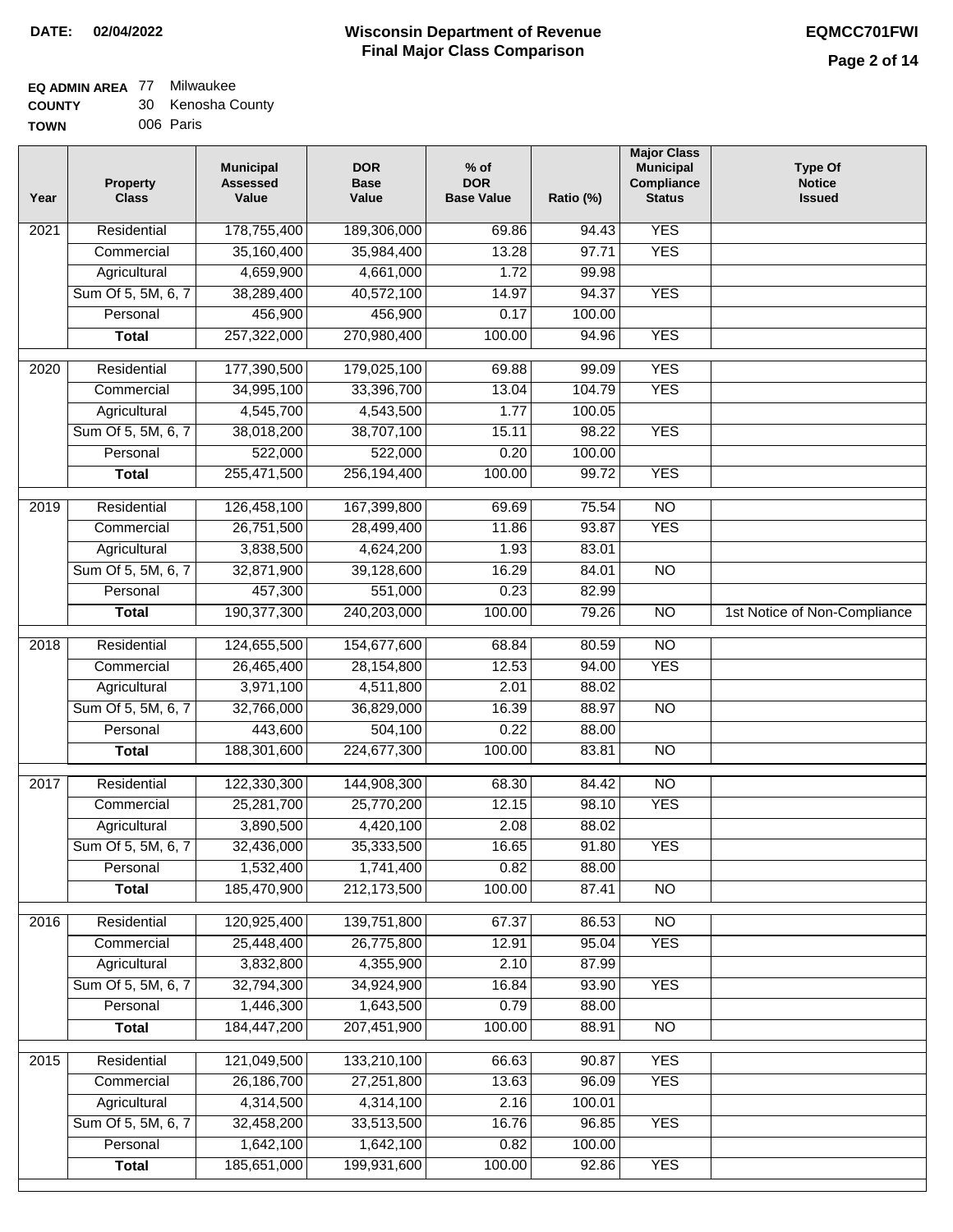## **EQ ADMIN AREA** 77 Milwaukee

| <b>COUNTY</b> |  | 30 Kenosha County |
|---------------|--|-------------------|
|---------------|--|-------------------|

**TOWN** 006 Paris

| Year | <b>Property</b><br><b>Class</b> | <b>Municipal</b><br><b>Assessed</b><br>Value | <b>DOR</b><br><b>Base</b><br>Value | $%$ of<br><b>DOR</b><br><b>Base Value</b> | Ratio (%) | <b>Major Class</b><br><b>Municipal</b><br>Compliance<br><b>Status</b> | <b>Type Of</b><br><b>Notice</b><br><b>Issued</b> |
|------|---------------------------------|----------------------------------------------|------------------------------------|-------------------------------------------|-----------|-----------------------------------------------------------------------|--------------------------------------------------|
| 2021 | Residential                     | 178,755,400                                  | 189,306,000                        | 69.86                                     | 94.43     | <b>YES</b>                                                            |                                                  |
|      | Commercial                      | 35,160,400                                   | 35,984,400                         | 13.28                                     | 97.71     | <b>YES</b>                                                            |                                                  |
|      | Agricultural                    | 4,659,900                                    | 4,661,000                          | 1.72                                      | 99.98     |                                                                       |                                                  |
|      | Sum Of 5, 5M, 6, 7              | 38,289,400                                   | 40,572,100                         | 14.97                                     | 94.37     | <b>YES</b>                                                            |                                                  |
|      | Personal                        | 456,900                                      | 456,900                            | 0.17                                      | 100.00    |                                                                       |                                                  |
|      | <b>Total</b>                    | 257,322,000                                  | 270,980,400                        | 100.00                                    | 94.96     | <b>YES</b>                                                            |                                                  |
| 2020 | Residential                     | 177,390,500                                  | 179,025,100                        | 69.88                                     | 99.09     | <b>YES</b>                                                            |                                                  |
|      | Commercial                      | 34,995,100                                   | 33,396,700                         | 13.04                                     | 104.79    | <b>YES</b>                                                            |                                                  |
|      | Agricultural                    | 4,545,700                                    | 4,543,500                          | 1.77                                      | 100.05    |                                                                       |                                                  |
|      | Sum Of 5, 5M, 6, 7              | 38,018,200                                   | 38,707,100                         | 15.11                                     | 98.22     | <b>YES</b>                                                            |                                                  |
|      | Personal                        | 522,000                                      | 522,000                            | 0.20                                      | 100.00    |                                                                       |                                                  |
|      | <b>Total</b>                    | 255,471,500                                  | 256,194,400                        | 100.00                                    | 99.72     | <b>YES</b>                                                            |                                                  |
| 2019 | Residential                     | 126,458,100                                  | 167,399,800                        | 69.69                                     | 75.54     | $\overline{10}$                                                       |                                                  |
|      | Commercial                      | 26,751,500                                   | 28,499,400                         | 11.86                                     | 93.87     | <b>YES</b>                                                            |                                                  |
|      | Agricultural                    | 3,838,500                                    | 4,624,200                          | 1.93                                      | 83.01     |                                                                       |                                                  |
|      | Sum Of 5, 5M, 6, 7              | 32,871,900                                   | 39,128,600                         | 16.29                                     | 84.01     | $\overline{NO}$                                                       |                                                  |
|      | Personal                        | 457,300                                      | 551,000                            | 0.23                                      | 82.99     |                                                                       |                                                  |
|      | <b>Total</b>                    | 190,377,300                                  | 240,203,000                        | 100.00                                    | 79.26     | $\overline{NO}$                                                       | 1st Notice of Non-Compliance                     |
| 2018 | Residential                     | 124,655,500                                  | 154,677,600                        | 68.84                                     | 80.59     | $\overline{10}$                                                       |                                                  |
|      | Commercial                      | 26,465,400                                   | 28,154,800                         | 12.53                                     | 94.00     | <b>YES</b>                                                            |                                                  |
|      | Agricultural                    | 3,971,100                                    | 4,511,800                          | 2.01                                      | 88.02     |                                                                       |                                                  |
|      | Sum Of 5, 5M, 6, 7              | 32,766,000                                   | 36,829,000                         | 16.39                                     | 88.97     | <b>NO</b>                                                             |                                                  |
|      | Personal                        | 443,600                                      | 504,100                            | 0.22                                      | 88.00     |                                                                       |                                                  |
|      | <b>Total</b>                    | 188,301,600                                  | 224,677,300                        | 100.00                                    | 83.81     | <b>NO</b>                                                             |                                                  |
| 2017 | Residential                     | 122,330,300                                  | 144,908,300                        | 68.30                                     | 84.42     | $\overline{NO}$                                                       |                                                  |
|      | Commercial                      | 25,281,700                                   | 25,770,200                         | 12.15                                     | 98.10     | <b>YES</b>                                                            |                                                  |
|      | Agricultural                    | 3,890,500                                    | 4,420,100                          | 2.08                                      | 88.02     |                                                                       |                                                  |
|      | Sum Of 5, 5M, 6, 7              | 32,436,000                                   | 35,333,500                         | 16.65                                     | 91.80     | <b>YES</b>                                                            |                                                  |
|      | Personal                        | 1,532,400                                    | 1,741,400                          | 0.82                                      | 88.00     |                                                                       |                                                  |
|      | <b>Total</b>                    | 185,470,900                                  | 212,173,500                        | 100.00                                    | 87.41     | <b>NO</b>                                                             |                                                  |
| 2016 | Residential                     | 120,925,400                                  | 139,751,800                        | 67.37                                     | 86.53     | $\overline{NO}$                                                       |                                                  |
|      | Commercial                      | 25,448,400                                   | 26,775,800                         | 12.91                                     | 95.04     | <b>YES</b>                                                            |                                                  |
|      | Agricultural                    | 3,832,800                                    | 4,355,900                          | 2.10                                      | 87.99     |                                                                       |                                                  |
|      | Sum Of 5, 5M, 6, 7              | 32,794,300                                   | 34,924,900                         | 16.84                                     | 93.90     | <b>YES</b>                                                            |                                                  |
|      | Personal                        | 1,446,300                                    | 1,643,500                          | 0.79                                      | 88.00     |                                                                       |                                                  |
|      | <b>Total</b>                    | 184,447,200                                  | 207,451,900                        | 100.00                                    | 88.91     | N <sub>O</sub>                                                        |                                                  |
| 2015 | Residential                     | 121,049,500                                  | 133,210,100                        | 66.63                                     | 90.87     | <b>YES</b>                                                            |                                                  |
|      | Commercial                      | 26,186,700                                   | 27,251,800                         | 13.63                                     | 96.09     | <b>YES</b>                                                            |                                                  |
|      | Agricultural                    | 4,314,500                                    | 4,314,100                          | 2.16                                      | 100.01    |                                                                       |                                                  |
|      | Sum Of 5, 5M, 6, 7              | 32,458,200                                   | 33,513,500                         | 16.76                                     | 96.85     | <b>YES</b>                                                            |                                                  |
|      | Personal                        | 1,642,100                                    | 1,642,100                          | 0.82                                      | 100.00    |                                                                       |                                                  |
|      | <b>Total</b>                    | 185,651,000                                  | 199,931,600                        | 100.00                                    | 92.86     | <b>YES</b>                                                            |                                                  |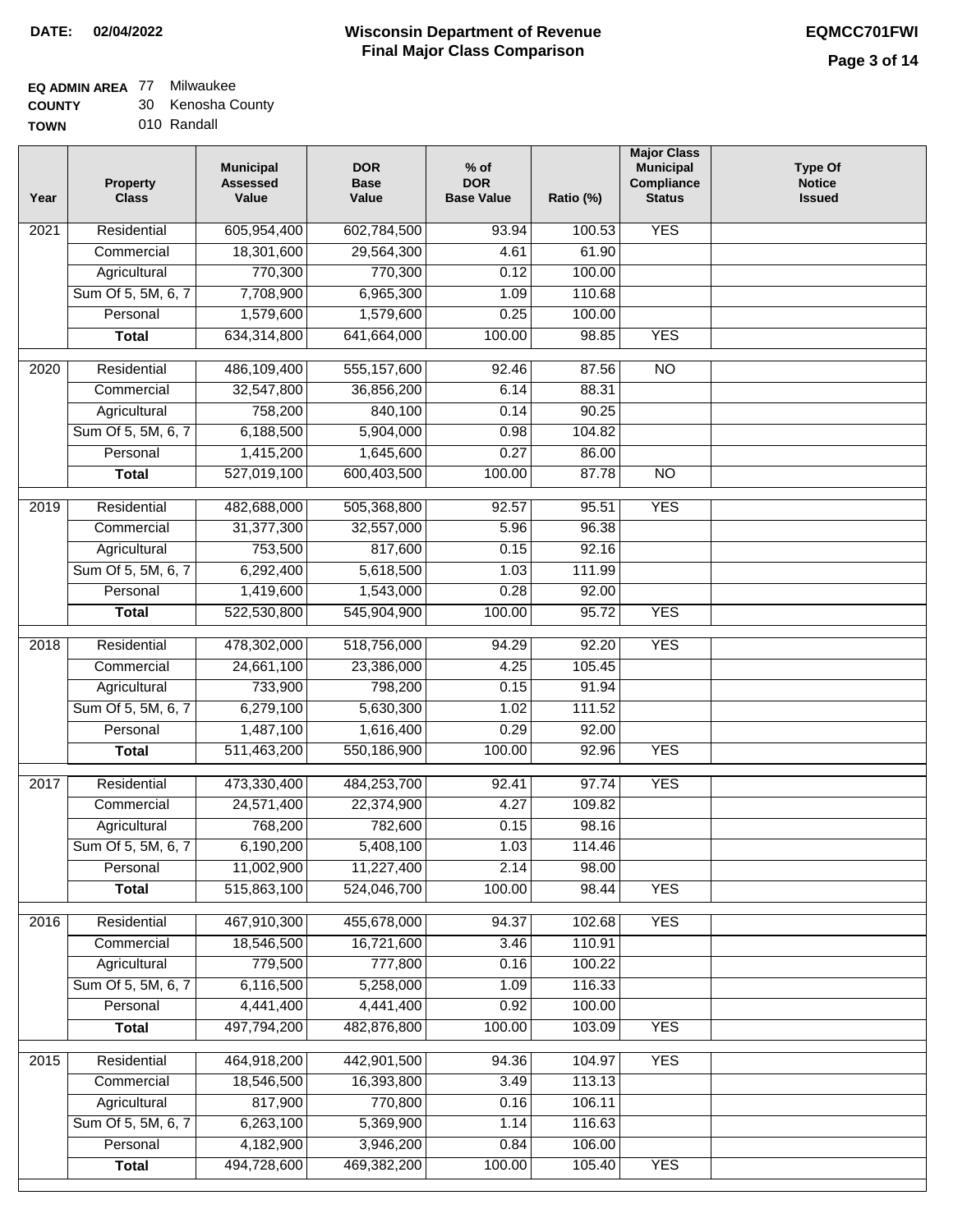## **EQ ADMIN AREA** 77 Milwaukee

**COUNTY** 30 Kenosha County

**TOWN** 010 Randall

| Year              | <b>Property</b><br><b>Class</b> | <b>Municipal</b><br><b>Assessed</b><br>Value | <b>DOR</b><br><b>Base</b><br>Value | $%$ of<br><b>DOR</b><br><b>Base Value</b> | Ratio (%)       | <b>Major Class</b><br><b>Municipal</b><br>Compliance<br><b>Status</b> | <b>Type Of</b><br><b>Notice</b><br><b>Issued</b> |
|-------------------|---------------------------------|----------------------------------------------|------------------------------------|-------------------------------------------|-----------------|-----------------------------------------------------------------------|--------------------------------------------------|
| $\overline{202}1$ | Residential                     | 605,954,400                                  | 602,784,500                        | 93.94                                     | 100.53          | <b>YES</b>                                                            |                                                  |
|                   | Commercial                      | 18,301,600                                   | 29,564,300                         | 4.61                                      | 61.90           |                                                                       |                                                  |
|                   | Agricultural                    | 770,300                                      | 770,300                            | 0.12                                      | 100.00          |                                                                       |                                                  |
|                   | Sum Of 5, 5M, 6, 7              | 7,708,900                                    | 6,965,300                          | 1.09                                      | 110.68          |                                                                       |                                                  |
|                   | Personal                        | 1,579,600                                    | 1,579,600                          | 0.25                                      | 100.00          |                                                                       |                                                  |
|                   | <b>Total</b>                    | 634,314,800                                  | 641,664,000                        | 100.00                                    | 98.85           | <b>YES</b>                                                            |                                                  |
| 2020              | Residential                     | 486,109,400                                  | 555,157,600                        | 92.46                                     | 87.56           | $\overline{10}$                                                       |                                                  |
|                   | Commercial                      | 32,547,800                                   | 36,856,200                         | 6.14                                      | 88.31           |                                                                       |                                                  |
|                   | Agricultural                    | 758,200                                      | 840,100                            | 0.14                                      | 90.25           |                                                                       |                                                  |
|                   | Sum Of 5, 5M, 6, 7              | 6,188,500                                    | 5,904,000                          | 0.98                                      | 104.82          |                                                                       |                                                  |
|                   | Personal                        | 1,415,200                                    | 1,645,600                          | 0.27                                      | 86.00           |                                                                       |                                                  |
|                   | <b>Total</b>                    | 527,019,100                                  | 600,403,500                        | 100.00                                    | 87.78           | $\overline{NO}$                                                       |                                                  |
| 2019              | Residential                     | 482,688,000                                  | 505,368,800                        | 92.57                                     | 95.51           | <b>YES</b>                                                            |                                                  |
|                   | Commercial                      | 31,377,300                                   | 32,557,000                         | 5.96                                      | 96.38           |                                                                       |                                                  |
|                   | Agricultural                    | 753,500                                      | 817,600                            | 0.15                                      | 92.16           |                                                                       |                                                  |
|                   | Sum Of 5, 5M, 6, 7              | 6,292,400                                    | 5,618,500                          | 1.03                                      | 111.99          |                                                                       |                                                  |
|                   | Personal                        | 1,419,600                                    | 1,543,000                          | 0.28                                      | 92.00           |                                                                       |                                                  |
|                   | <b>Total</b>                    | 522,530,800                                  | 545,904,900                        | 100.00                                    | 95.72           | <b>YES</b>                                                            |                                                  |
|                   |                                 |                                              |                                    |                                           |                 |                                                                       |                                                  |
| 2018              | Residential                     | 478,302,000                                  | 518,756,000                        | 94.29                                     | 92.20           | <b>YES</b>                                                            |                                                  |
|                   | Commercial                      | 24,661,100                                   | 23,386,000                         | 4.25                                      | 105.45          |                                                                       |                                                  |
|                   | Agricultural                    | 733,900                                      | 798,200                            | 0.15                                      | 91.94           |                                                                       |                                                  |
|                   | Sum Of 5, 5M, 6, 7<br>Personal  | 6,279,100                                    | 5,630,300                          | 1.02<br>0.29                              | 111.52<br>92.00 |                                                                       |                                                  |
|                   | <b>Total</b>                    | 1,487,100<br>511,463,200                     | 1,616,400<br>550,186,900           | 100.00                                    | 92.96           | <b>YES</b>                                                            |                                                  |
|                   |                                 |                                              |                                    |                                           |                 |                                                                       |                                                  |
| 2017              | Residential                     | 473,330,400                                  | 484,253,700                        | 92.41                                     | 97.74           | <b>YES</b>                                                            |                                                  |
|                   | Commercial                      | 24,571,400                                   | 22,374,900                         | 4.27                                      | 109.82          |                                                                       |                                                  |
|                   | Agricultural                    | 768,200                                      | 782,600                            | 0.15                                      | 98.16           |                                                                       |                                                  |
|                   | Sum Of 5, 5M, 6, 7              | 6,190,200                                    | 5,408,100                          | 1.03                                      | 114.46          |                                                                       |                                                  |
|                   | Personal                        | 11,002,900                                   | 11,227,400                         | 2.14                                      | 98.00           |                                                                       |                                                  |
|                   | <b>Total</b>                    | 515,863,100                                  | 524,046,700                        | 100.00                                    | 98.44           | <b>YES</b>                                                            |                                                  |
| 2016              | Residential                     | 467,910,300                                  | 455,678,000                        | 94.37                                     | 102.68          | <b>YES</b>                                                            |                                                  |
|                   | Commercial                      | 18,546,500                                   | 16,721,600                         | 3.46                                      | 110.91          |                                                                       |                                                  |
|                   | Agricultural                    | 779,500                                      | 777,800                            | 0.16                                      | 100.22          |                                                                       |                                                  |
|                   | Sum Of 5, 5M, 6, 7              | 6,116,500                                    | 5,258,000                          | 1.09                                      | 116.33          |                                                                       |                                                  |
|                   | Personal                        | 4,441,400                                    | 4,441,400                          | 0.92                                      | 100.00          |                                                                       |                                                  |
|                   | <b>Total</b>                    | 497,794,200                                  | 482,876,800                        | 100.00                                    | 103.09          | <b>YES</b>                                                            |                                                  |
| 2015              | Residential                     | 464,918,200                                  | 442,901,500                        | 94.36                                     | 104.97          | <b>YES</b>                                                            |                                                  |
|                   | Commercial                      | 18,546,500                                   | 16,393,800                         | 3.49                                      | 113.13          |                                                                       |                                                  |
|                   | Agricultural                    | 817,900                                      | 770,800                            | 0.16                                      | 106.11          |                                                                       |                                                  |
|                   | Sum Of 5, 5M, 6, 7              | 6,263,100                                    | 5,369,900                          | 1.14                                      | 116.63          |                                                                       |                                                  |
|                   | Personal                        | 4,182,900                                    | 3,946,200                          | 0.84                                      | 106.00          |                                                                       |                                                  |
|                   | <b>Total</b>                    | 494,728,600                                  | 469,382,200                        | 100.00                                    | 105.40          | <b>YES</b>                                                            |                                                  |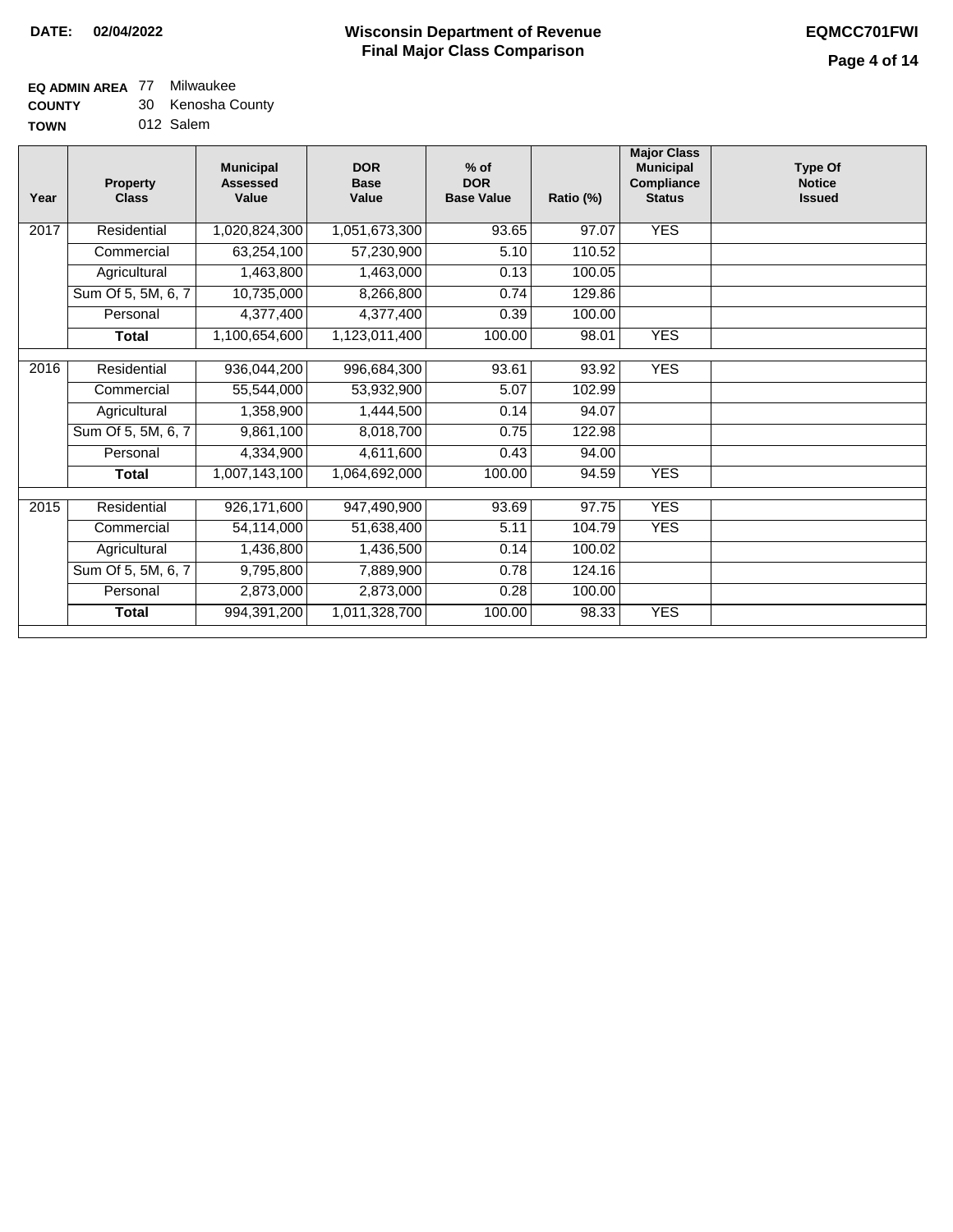### **EQ ADMIN AREA** 77 Milwaukee

**COUNTY** 30 Kenosha County

**TOWN** 012 Salem

| Year | <b>Property</b><br><b>Class</b> | <b>Municipal</b><br><b>Assessed</b><br>Value | <b>DOR</b><br><b>Base</b><br>Value | $%$ of<br><b>DOR</b><br><b>Base Value</b> | Ratio (%) | <b>Major Class</b><br><b>Municipal</b><br>Compliance<br><b>Status</b> | <b>Type Of</b><br><b>Notice</b><br><b>Issued</b> |
|------|---------------------------------|----------------------------------------------|------------------------------------|-------------------------------------------|-----------|-----------------------------------------------------------------------|--------------------------------------------------|
|      |                                 |                                              |                                    |                                           |           |                                                                       |                                                  |
| 2017 | Residential                     | 1,020,824,300                                | 1,051,673,300                      | 93.65                                     | 97.07     | <b>YES</b>                                                            |                                                  |
|      | Commercial                      | 63,254,100                                   | 57,230,900                         | 5.10                                      | 110.52    |                                                                       |                                                  |
|      | Agricultural                    | 1,463,800                                    | 1,463,000                          | 0.13                                      | 100.05    |                                                                       |                                                  |
|      | Sum Of 5, 5M, 6, 7              | 10,735,000                                   | 8,266,800                          | 0.74                                      | 129.86    |                                                                       |                                                  |
|      | Personal                        | 4,377,400                                    | 4,377,400                          | 0.39                                      | 100.00    |                                                                       |                                                  |
|      | <b>Total</b>                    | 1,100,654,600                                | 1,123,011,400                      | 100.00                                    | 98.01     | <b>YES</b>                                                            |                                                  |
|      |                                 |                                              |                                    |                                           |           |                                                                       |                                                  |
| 2016 | Residential                     | 936,044,200                                  | 996,684,300                        | 93.61                                     | 93.92     | <b>YES</b>                                                            |                                                  |
|      | Commercial                      | 55,544,000                                   | 53,932,900                         | 5.07                                      | 102.99    |                                                                       |                                                  |
|      | Agricultural                    | 1,358,900                                    | 1,444,500                          | 0.14                                      | 94.07     |                                                                       |                                                  |
|      | Sum Of 5, 5M, 6, 7              | 9,861,100                                    | 8,018,700                          | 0.75                                      | 122.98    |                                                                       |                                                  |
|      | Personal                        | 4,334,900                                    | 4,611,600                          | 0.43                                      | 94.00     |                                                                       |                                                  |
|      | <b>Total</b>                    | 1,007,143,100                                | 1,064,692,000                      | 100.00                                    | 94.59     | <b>YES</b>                                                            |                                                  |
|      |                                 |                                              |                                    |                                           |           |                                                                       |                                                  |
| 2015 | Residential                     | 926,171,600                                  | 947,490,900                        | 93.69                                     | 97.75     | <b>YES</b>                                                            |                                                  |
|      | Commercial                      | 54,114,000                                   | 51,638,400                         | 5.11                                      | 104.79    | <b>YES</b>                                                            |                                                  |
|      | Agricultural                    | 1,436,800                                    | 1,436,500                          | 0.14                                      | 100.02    |                                                                       |                                                  |
|      | Sum Of 5, 5M, 6, 7              | 9,795,800                                    | 7,889,900                          | 0.78                                      | 124.16    |                                                                       |                                                  |
|      | Personal                        | 2,873,000                                    | 2,873,000                          | 0.28                                      | 100.00    |                                                                       |                                                  |
|      | <b>Total</b>                    | 994,391,200                                  | 1,011,328,700                      | 100.00                                    | 98.33     | <b>YES</b>                                                            |                                                  |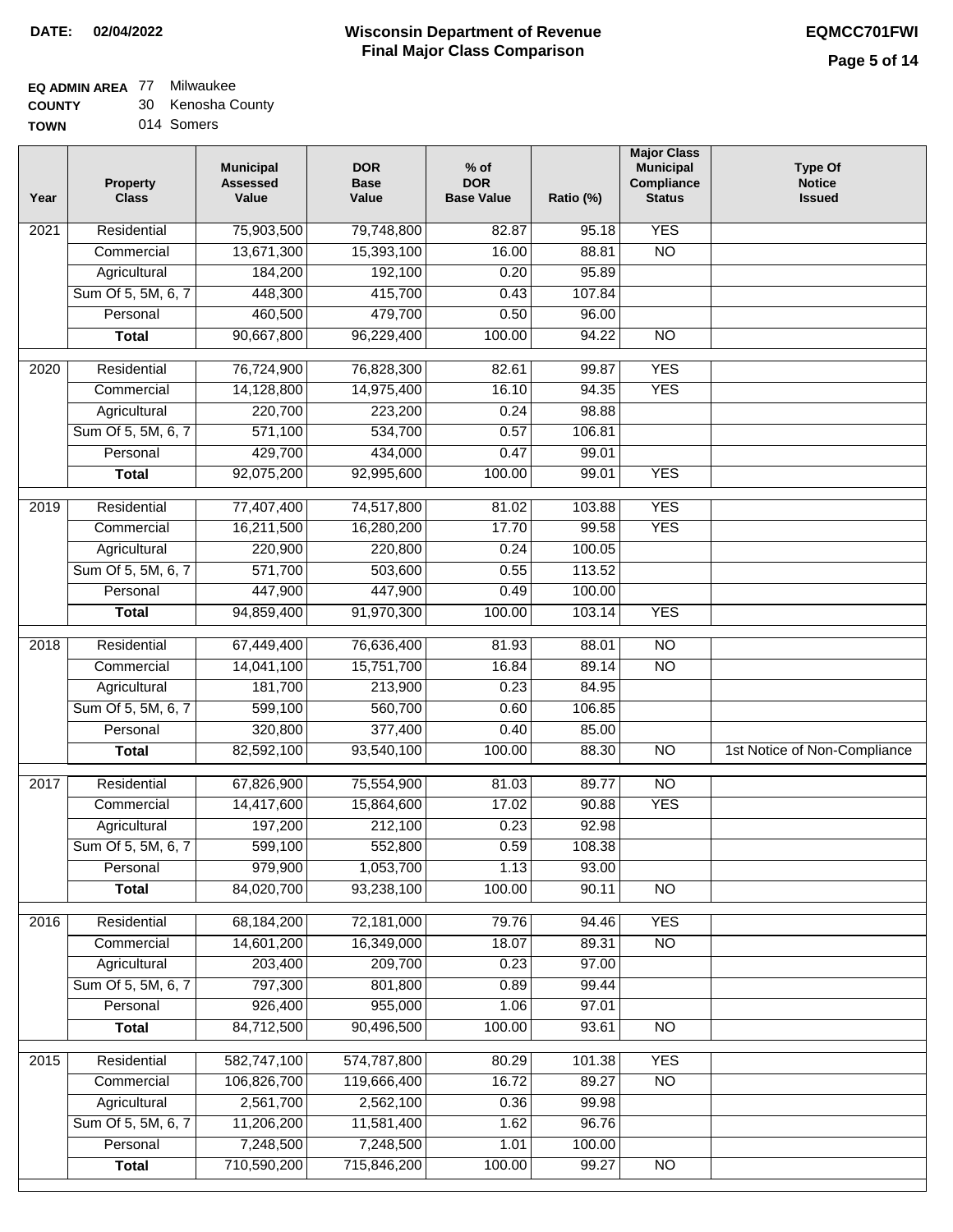### **EQ ADMIN AREA** 77 Milwaukee

**COUNTY** 30 Kenosha County

**TOWN** 014 Somers

| Year              | <b>Property</b><br><b>Class</b> | <b>Municipal</b><br><b>Assessed</b><br>Value | <b>DOR</b><br><b>Base</b><br>Value | $%$ of<br><b>DOR</b><br><b>Base Value</b> | Ratio (%) | <b>Major Class</b><br><b>Municipal</b><br>Compliance<br><b>Status</b> | <b>Type Of</b><br><b>Notice</b><br><b>Issued</b> |
|-------------------|---------------------------------|----------------------------------------------|------------------------------------|-------------------------------------------|-----------|-----------------------------------------------------------------------|--------------------------------------------------|
| 2021              | Residential                     | 75,903,500                                   | 79,748,800                         | 82.87                                     | 95.18     | <b>YES</b>                                                            |                                                  |
|                   | Commercial                      | 13,671,300                                   | 15,393,100                         | 16.00                                     | 88.81     | $\overline{NO}$                                                       |                                                  |
|                   | Agricultural                    | 184,200                                      | 192,100                            | 0.20                                      | 95.89     |                                                                       |                                                  |
|                   | Sum Of 5, 5M, 6, 7              | 448,300                                      | 415,700                            | 0.43                                      | 107.84    |                                                                       |                                                  |
|                   | Personal                        | 460,500                                      | 479,700                            | 0.50                                      | 96.00     |                                                                       |                                                  |
|                   | <b>Total</b>                    | 90,667,800                                   | 96,229,400                         | 100.00                                    | 94.22     | $\overline{NO}$                                                       |                                                  |
| 2020              | Residential                     | 76,724,900                                   | 76,828,300                         | 82.61                                     | 99.87     | <b>YES</b>                                                            |                                                  |
|                   | Commercial                      | 14,128,800                                   | 14,975,400                         | 16.10                                     | 94.35     | <b>YES</b>                                                            |                                                  |
|                   | Agricultural                    | 220,700                                      | 223,200                            | 0.24                                      | 98.88     |                                                                       |                                                  |
|                   | Sum Of 5, 5M, 6, 7              | 571,100                                      | 534,700                            | 0.57                                      | 106.81    |                                                                       |                                                  |
|                   | Personal                        | 429,700                                      | 434,000                            | 0.47                                      | 99.01     |                                                                       |                                                  |
|                   | <b>Total</b>                    | 92,075,200                                   | 92,995,600                         | 100.00                                    | 99.01     | <b>YES</b>                                                            |                                                  |
| 2019              | Residential                     | 77,407,400                                   | 74,517,800                         | 81.02                                     | 103.88    | <b>YES</b>                                                            |                                                  |
|                   | Commercial                      | 16,211,500                                   | 16,280,200                         | 17.70                                     | 99.58     | <b>YES</b>                                                            |                                                  |
|                   | Agricultural                    | 220,900                                      | 220,800                            | 0.24                                      | 100.05    |                                                                       |                                                  |
|                   | Sum Of 5, 5M, 6, 7              | 571,700                                      | 503,600                            | 0.55                                      | 113.52    |                                                                       |                                                  |
|                   | Personal                        | 447,900                                      | 447,900                            | 0.49                                      | 100.00    |                                                                       |                                                  |
|                   | <b>Total</b>                    | 94,859,400                                   | 91,970,300                         | 100.00                                    | 103.14    | <b>YES</b>                                                            |                                                  |
| 2018              | Residential                     | 67,449,400                                   | 76,636,400                         | 81.93                                     | 88.01     | $\overline{10}$                                                       |                                                  |
|                   | Commercial                      | 14,041,100                                   | 15,751,700                         | 16.84                                     | 89.14     | <b>NO</b>                                                             |                                                  |
|                   | Agricultural                    | 181,700                                      | 213,900                            | 0.23                                      | 84.95     |                                                                       |                                                  |
|                   | Sum Of 5, 5M, 6, 7              | 599,100                                      | 560,700                            | 0.60                                      | 106.85    |                                                                       |                                                  |
|                   | Personal                        | 320,800                                      | 377,400                            | 0.40                                      | 85.00     |                                                                       |                                                  |
|                   | <b>Total</b>                    | 82,592,100                                   | 93,540,100                         | 100.00                                    | 88.30     | $\overline{10}$                                                       | 1st Notice of Non-Compliance                     |
| $\overline{2017}$ | Residential                     | 67,826,900                                   | 75,554,900                         | 81.03                                     | 89.77     | N <sub>O</sub>                                                        |                                                  |
|                   | Commercial                      | 14,417,600                                   | 15,864,600                         | 17.02                                     | 90.88     | <b>YES</b>                                                            |                                                  |
|                   | Agricultural                    | 197,200                                      | 212,100                            | 0.23                                      | 92.98     |                                                                       |                                                  |
|                   | Sum Of 5, 5M, 6, 7              | 599,100                                      | 552,800                            | 0.59                                      | 108.38    |                                                                       |                                                  |
|                   | Personal                        | 979,900                                      | 1,053,700                          | 1.13                                      | 93.00     |                                                                       |                                                  |
|                   | <b>Total</b>                    | 84,020,700                                   | 93,238,100                         | 100.00                                    | 90.11     | <b>NO</b>                                                             |                                                  |
| 2016              | Residential                     | 68,184,200                                   | 72,181,000                         | 79.76                                     | 94.46     | <b>YES</b>                                                            |                                                  |
|                   | Commercial                      | 14,601,200                                   | 16,349,000                         | 18.07                                     | 89.31     | $\overline{NO}$                                                       |                                                  |
|                   | Agricultural                    | 203,400                                      | 209,700                            | 0.23                                      | 97.00     |                                                                       |                                                  |
|                   | Sum Of 5, 5M, 6, 7              | 797,300                                      | 801,800                            | 0.89                                      | 99.44     |                                                                       |                                                  |
|                   | Personal                        | 926,400                                      | 955,000                            | 1.06                                      | 97.01     |                                                                       |                                                  |
|                   | <b>Total</b>                    | 84,712,500                                   | 90,496,500                         | 100.00                                    | 93.61     | $\overline{NO}$                                                       |                                                  |
| 2015              | Residential                     | 582,747,100                                  | 574,787,800                        | 80.29                                     | 101.38    | <b>YES</b>                                                            |                                                  |
|                   | Commercial                      | 106,826,700                                  | 119,666,400                        | 16.72                                     | 89.27     | N <sub>O</sub>                                                        |                                                  |
|                   | Agricultural                    | 2,561,700                                    | 2,562,100                          | 0.36                                      | 99.98     |                                                                       |                                                  |
|                   | Sum Of 5, 5M, 6, 7              | 11,206,200                                   | 11,581,400                         | 1.62                                      | 96.76     |                                                                       |                                                  |
|                   | Personal                        | 7,248,500                                    | 7,248,500                          | 1.01                                      | 100.00    |                                                                       |                                                  |
|                   | <b>Total</b>                    | 710,590,200                                  | 715,846,200                        | 100.00                                    | 99.27     | NO                                                                    |                                                  |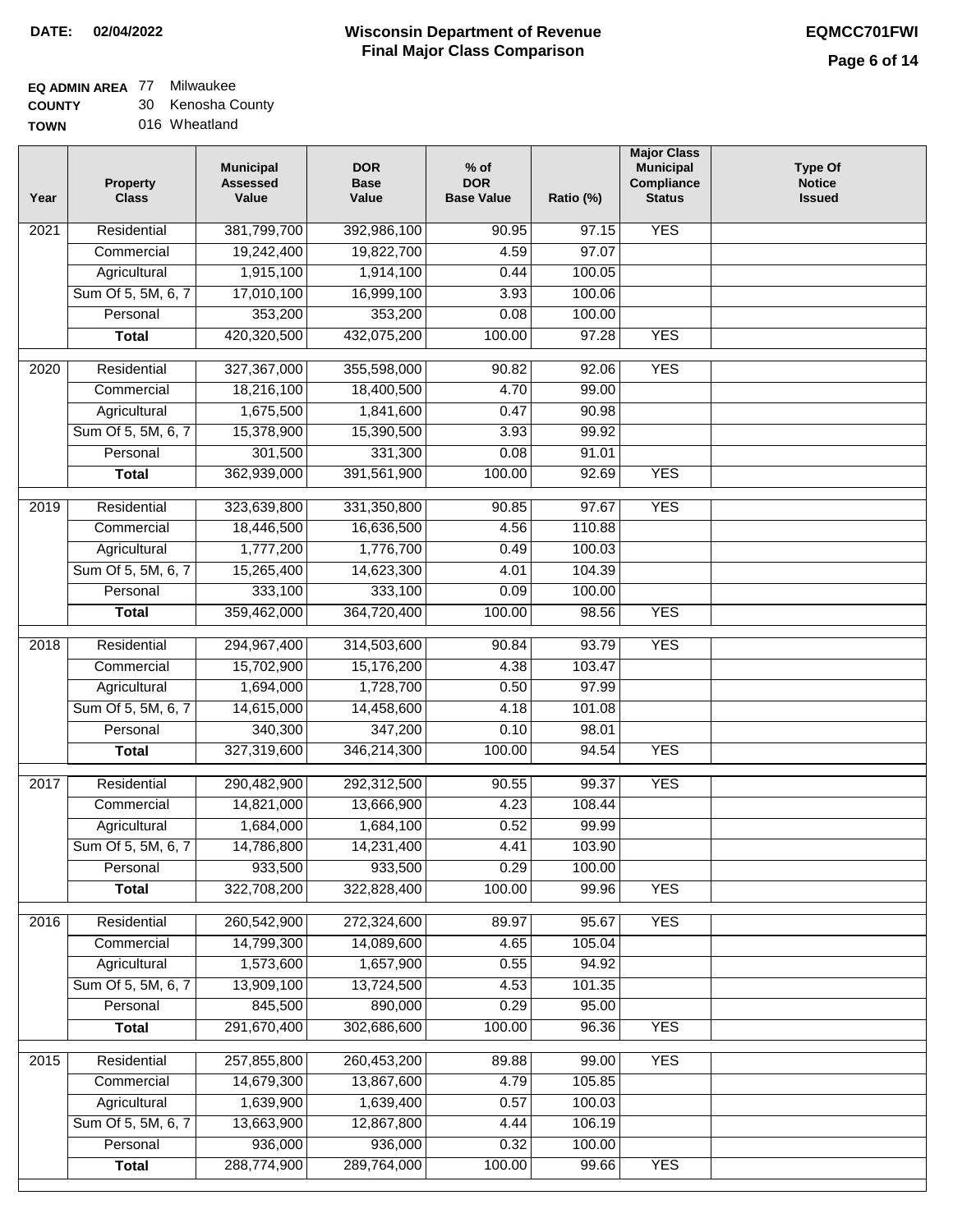### **EQ ADMIN AREA** 77 Milwaukee

**COUNTY** 30 Kenosha County

| Year              | <b>Property</b><br><b>Class</b> | <b>Municipal</b><br><b>Assessed</b><br>Value | <b>DOR</b><br><b>Base</b><br>Value | $%$ of<br><b>DOR</b><br><b>Base Value</b> | Ratio (%) | <b>Major Class</b><br><b>Municipal</b><br>Compliance<br><b>Status</b> | <b>Type Of</b><br><b>Notice</b><br><b>Issued</b> |
|-------------------|---------------------------------|----------------------------------------------|------------------------------------|-------------------------------------------|-----------|-----------------------------------------------------------------------|--------------------------------------------------|
| 2021              | Residential                     | 381,799,700                                  | 392,986,100                        | 90.95                                     | 97.15     | <b>YES</b>                                                            |                                                  |
|                   | Commercial                      | 19,242,400                                   | 19,822,700                         | 4.59                                      | 97.07     |                                                                       |                                                  |
|                   | Agricultural                    | 1,915,100                                    | 1,914,100                          | 0.44                                      | 100.05    |                                                                       |                                                  |
|                   | Sum Of 5, 5M, 6, 7              | 17,010,100                                   | 16,999,100                         | 3.93                                      | 100.06    |                                                                       |                                                  |
|                   | Personal                        | 353,200                                      | 353,200                            | 0.08                                      | 100.00    |                                                                       |                                                  |
|                   | <b>Total</b>                    | 420,320,500                                  | 432,075,200                        | 100.00                                    | 97.28     | <b>YES</b>                                                            |                                                  |
| 2020              | Residential                     | 327,367,000                                  | 355,598,000                        | 90.82                                     | 92.06     | <b>YES</b>                                                            |                                                  |
|                   | Commercial                      | 18,216,100                                   | 18,400,500                         | 4.70                                      | 99.00     |                                                                       |                                                  |
|                   | Agricultural                    | 1,675,500                                    | 1,841,600                          | 0.47                                      | 90.98     |                                                                       |                                                  |
|                   | Sum Of 5, 5M, 6, 7              | 15,378,900                                   | 15,390,500                         | 3.93                                      | 99.92     |                                                                       |                                                  |
|                   | Personal                        | 301,500                                      | 331,300                            | 0.08                                      | 91.01     |                                                                       |                                                  |
|                   | <b>Total</b>                    | 362,939,000                                  | 391,561,900                        | 100.00                                    | 92.69     | <b>YES</b>                                                            |                                                  |
|                   |                                 |                                              |                                    |                                           |           |                                                                       |                                                  |
| 2019              | Residential                     | 323,639,800                                  | 331,350,800                        | 90.85                                     | 97.67     | <b>YES</b>                                                            |                                                  |
|                   | Commercial                      | 18,446,500                                   | 16,636,500                         | 4.56                                      | 110.88    |                                                                       |                                                  |
|                   | Agricultural                    | 1,777,200                                    | 1,776,700                          | 0.49                                      | 100.03    |                                                                       |                                                  |
|                   | Sum Of 5, 5M, 6, 7              | 15,265,400                                   | 14,623,300                         | 4.01                                      | 104.39    |                                                                       |                                                  |
|                   | Personal                        | 333,100                                      | 333,100                            | 0.09                                      | 100.00    |                                                                       |                                                  |
|                   | <b>Total</b>                    | 359,462,000                                  | 364,720,400                        | 100.00                                    | 98.56     | <b>YES</b>                                                            |                                                  |
| $\overline{2018}$ | Residential                     | 294,967,400                                  | 314,503,600                        | 90.84                                     | 93.79     | <b>YES</b>                                                            |                                                  |
|                   | Commercial                      | 15,702,900                                   | 15,176,200                         | 4.38                                      | 103.47    |                                                                       |                                                  |
|                   | Agricultural                    | 1,694,000                                    | 1,728,700                          | 0.50                                      | 97.99     |                                                                       |                                                  |
|                   | Sum Of 5, 5M, 6, 7              | 14,615,000                                   | 14,458,600                         | 4.18                                      | 101.08    |                                                                       |                                                  |
|                   | Personal                        | 340,300                                      | 347,200                            | 0.10                                      | 98.01     |                                                                       |                                                  |
|                   | <b>Total</b>                    | 327,319,600                                  | 346,214,300                        | 100.00                                    | 94.54     | <b>YES</b>                                                            |                                                  |
| 2017              | Residential                     | 290,482,900                                  | 292,312,500                        | 90.55                                     | 99.37     | <b>YES</b>                                                            |                                                  |
|                   | Commercial                      | 14,821,000                                   | 13,666,900                         | 4.23                                      | 108.44    |                                                                       |                                                  |
|                   | Agricultural                    | 1,684,000                                    | 1,684,100                          | 0.52                                      | 99.99     |                                                                       |                                                  |
|                   | Sum Of 5, 5M, 6, 7              | 14,786,800                                   | 14,231,400                         | 4.41                                      | 103.90    |                                                                       |                                                  |
|                   | Personal                        | 933,500                                      | 933,500                            | 0.29                                      | 100.00    |                                                                       |                                                  |
|                   | <b>Total</b>                    | 322,708,200                                  | 322,828,400                        | 100.00                                    | 99.96     | <b>YES</b>                                                            |                                                  |
| 2016              | Residential                     | 260,542,900                                  | 272,324,600                        | 89.97                                     | 95.67     | <b>YES</b>                                                            |                                                  |
|                   | Commercial                      | 14,799,300                                   | 14,089,600                         | 4.65                                      | 105.04    |                                                                       |                                                  |
|                   | Agricultural                    | 1,573,600                                    | 1,657,900                          | 0.55                                      | 94.92     |                                                                       |                                                  |
|                   | Sum Of 5, 5M, 6, 7              | 13,909,100                                   | 13,724,500                         | 4.53                                      | 101.35    |                                                                       |                                                  |
|                   | Personal                        | 845,500                                      | 890,000                            | 0.29                                      | 95.00     |                                                                       |                                                  |
|                   |                                 | 291,670,400                                  | 302,686,600                        | 100.00                                    | 96.36     | <b>YES</b>                                                            |                                                  |
|                   | <b>Total</b>                    |                                              |                                    |                                           |           |                                                                       |                                                  |
| $\frac{2015}{ }$  | Residential                     | 257,855,800                                  | 260,453,200                        | 89.88                                     | 99.00     | <b>YES</b>                                                            |                                                  |
|                   | Commercial                      | 14,679,300                                   | 13,867,600                         | 4.79                                      | 105.85    |                                                                       |                                                  |
|                   | Agricultural                    | 1,639,900                                    | 1,639,400                          | 0.57                                      | 100.03    |                                                                       |                                                  |
|                   | Sum Of 5, 5M, 6, 7              | 13,663,900                                   | 12,867,800                         | 4.44                                      | 106.19    |                                                                       |                                                  |
|                   | Personal                        | 936,000                                      | 936,000                            | 0.32                                      | 100.00    |                                                                       |                                                  |
|                   | <b>Total</b>                    | 288,774,900                                  | 289,764,000                        | 100.00                                    | 99.66     | <b>YES</b>                                                            |                                                  |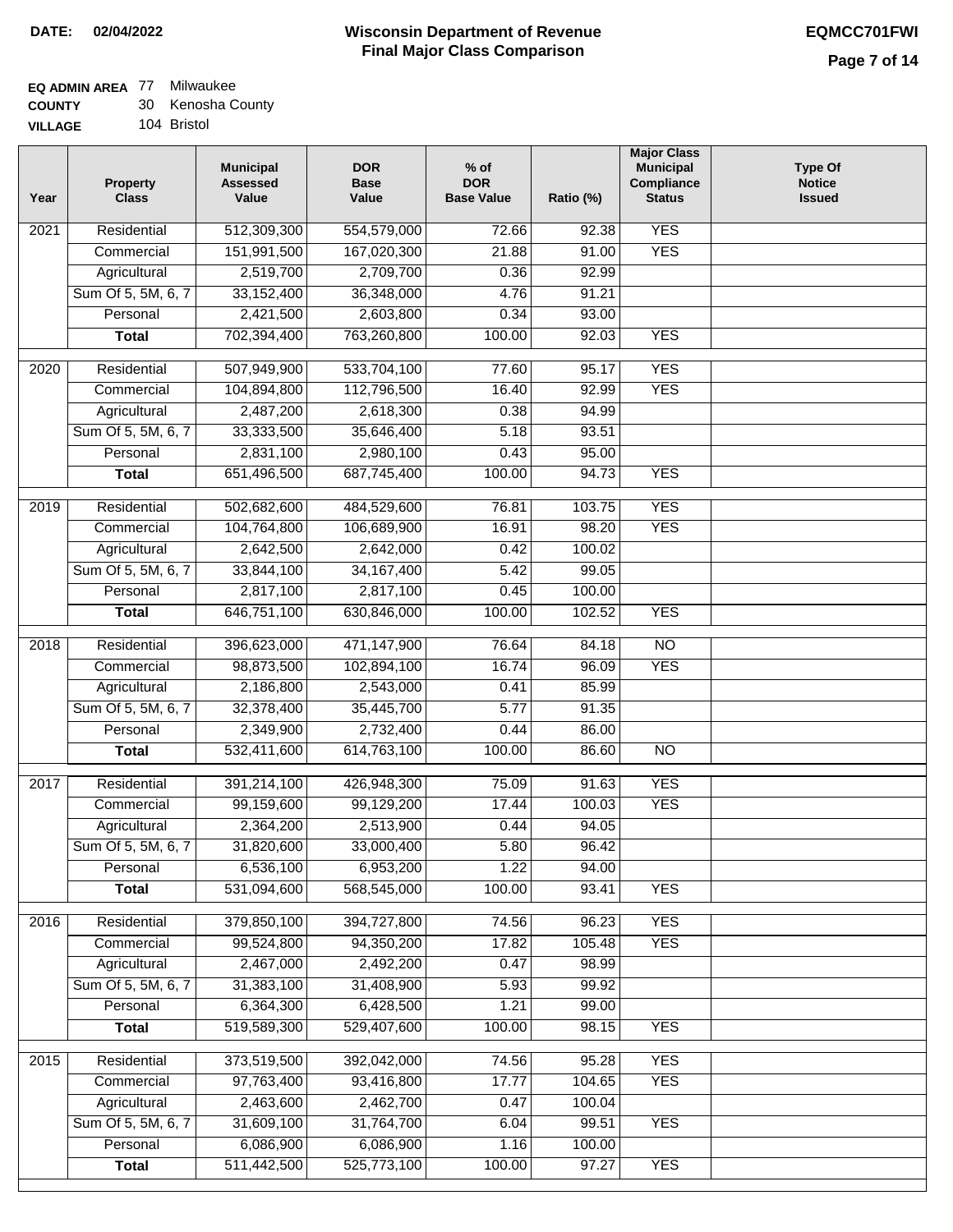#### **EQ ADMIN AREA** 77 Milwaukee

| <b>COUNTY</b> | Kenosha County |
|---------------|----------------|
|               |                |

| VILLAGE |        | 104 Bristol |                  |  |
|---------|--------|-------------|------------------|--|
|         | $\sim$ |             | <b>Municipal</b> |  |

| Year              | <b>Property</b><br><b>Class</b> | <b>Municipal</b><br><b>Assessed</b><br>Value | <b>DOR</b><br><b>Base</b><br>Value | $%$ of<br><b>DOR</b><br><b>Base Value</b> | Ratio (%) | <b>Major Class</b><br><b>Municipal</b><br>Compliance<br><b>Status</b> | <b>Type Of</b><br><b>Notice</b><br><b>Issued</b> |
|-------------------|---------------------------------|----------------------------------------------|------------------------------------|-------------------------------------------|-----------|-----------------------------------------------------------------------|--------------------------------------------------|
| 2021              | Residential                     | 512,309,300                                  | 554,579,000                        | 72.66                                     | 92.38     | <b>YES</b>                                                            |                                                  |
|                   | Commercial                      | 151,991,500                                  | 167,020,300                        | 21.88                                     | 91.00     | <b>YES</b>                                                            |                                                  |
|                   | Agricultural                    | 2,519,700                                    | 2,709,700                          | 0.36                                      | 92.99     |                                                                       |                                                  |
|                   | Sum Of 5, 5M, 6, 7              | 33, 152, 400                                 | 36,348,000                         | 4.76                                      | 91.21     |                                                                       |                                                  |
|                   | Personal                        | 2,421,500                                    | 2,603,800                          | 0.34                                      | 93.00     |                                                                       |                                                  |
|                   | <b>Total</b>                    | 702,394,400                                  | 763,260,800                        | 100.00                                    | 92.03     | <b>YES</b>                                                            |                                                  |
|                   |                                 |                                              |                                    |                                           |           |                                                                       |                                                  |
| $\overline{20}20$ | Residential                     | 507,949,900                                  | 533,704,100                        | 77.60                                     | 95.17     | <b>YES</b>                                                            |                                                  |
|                   | Commercial                      | 104,894,800                                  | 112,796,500                        | 16.40                                     | 92.99     | <b>YES</b>                                                            |                                                  |
|                   | Agricultural                    | 2,487,200                                    | 2,618,300                          | 0.38                                      | 94.99     |                                                                       |                                                  |
|                   | Sum Of 5, 5M, 6, 7              | 33,333,500                                   | 35,646,400                         | 5.18                                      | 93.51     |                                                                       |                                                  |
|                   | Personal                        | 2,831,100                                    | 2,980,100                          | 0.43                                      | 95.00     |                                                                       |                                                  |
|                   | <b>Total</b>                    | 651,496,500                                  | 687,745,400                        | 100.00                                    | 94.73     | <b>YES</b>                                                            |                                                  |
| 2019              | Residential                     | 502,682,600                                  | 484,529,600                        | 76.81                                     | 103.75    | <b>YES</b>                                                            |                                                  |
|                   | Commercial                      | 104,764,800                                  | 106,689,900                        | 16.91                                     | 98.20     | <b>YES</b>                                                            |                                                  |
|                   | Agricultural                    | 2,642,500                                    | 2,642,000                          | 0.42                                      | 100.02    |                                                                       |                                                  |
|                   | Sum Of 5, 5M, 6, 7              | 33,844,100                                   | 34, 167, 400                       | 5.42                                      | 99.05     |                                                                       |                                                  |
|                   | Personal                        | 2,817,100                                    | 2,817,100                          | 0.45                                      | 100.00    |                                                                       |                                                  |
|                   | <b>Total</b>                    | 646,751,100                                  | 630,846,000                        | 100.00                                    | 102.52    | <b>YES</b>                                                            |                                                  |
| 2018              | Residential                     | 396,623,000                                  | 471,147,900                        | 76.64                                     | 84.18     | $\overline{NO}$                                                       |                                                  |
|                   | Commercial                      | 98,873,500                                   | 102,894,100                        | 16.74                                     | 96.09     | <b>YES</b>                                                            |                                                  |
|                   | Agricultural                    | 2,186,800                                    | 2,543,000                          | 0.41                                      | 85.99     |                                                                       |                                                  |
|                   | Sum Of 5, 5M, 6, 7              | 32,378,400                                   | 35,445,700                         | 5.77                                      | 91.35     |                                                                       |                                                  |
|                   | Personal                        | 2,349,900                                    | 2,732,400                          | 0.44                                      | 86.00     |                                                                       |                                                  |
|                   | <b>Total</b>                    | 532,411,600                                  | 614,763,100                        | 100.00                                    | 86.60     | <b>NO</b>                                                             |                                                  |
|                   |                                 |                                              |                                    |                                           |           |                                                                       |                                                  |
| 2017              | Residential                     | 391,214,100                                  | 426,948,300                        | 75.09                                     | 91.63     | <b>YES</b>                                                            |                                                  |
|                   | Commercial                      | 99,159,600                                   | 99,129,200                         | 17.44                                     | 100.03    | <b>YES</b>                                                            |                                                  |
|                   | Agricultural                    | 2,364,200                                    | 2,513,900                          | 0.44                                      | 94.05     |                                                                       |                                                  |
|                   | Sum Of 5, 5M, 6, 7              | 31,820,600                                   | 33,000,400                         | 5.80                                      | 96.42     |                                                                       |                                                  |
|                   | Personal                        | 6,536,100                                    | 6,953,200                          | 1.22                                      | 94.00     |                                                                       |                                                  |
|                   | <b>Total</b>                    | 531,094,600                                  | 568,545,000                        | 100.00                                    | 93.41     | <b>YES</b>                                                            |                                                  |
| 2016              | Residential                     | 379,850,100                                  | 394,727,800                        | 74.56                                     | 96.23     | <b>YES</b>                                                            |                                                  |
|                   | Commercial                      | 99,524,800                                   | 94,350,200                         | 17.82                                     | 105.48    | <b>YES</b>                                                            |                                                  |
|                   | Agricultural                    | 2,467,000                                    | 2,492,200                          | 0.47                                      | 98.99     |                                                                       |                                                  |
|                   | Sum Of 5, 5M, 6, 7              | 31,383,100                                   | 31,408,900                         | 5.93                                      | 99.92     |                                                                       |                                                  |
|                   | Personal                        | 6,364,300                                    | 6,428,500                          | 1.21                                      | 99.00     |                                                                       |                                                  |
|                   | <b>Total</b>                    | 519,589,300                                  | 529,407,600                        | 100.00                                    | 98.15     | <b>YES</b>                                                            |                                                  |
| 2015              | Residential                     | 373,519,500                                  | 392,042,000                        | 74.56                                     | 95.28     | <b>YES</b>                                                            |                                                  |
|                   | Commercial                      | 97,763,400                                   | 93,416,800                         | 17.77                                     | 104.65    | <b>YES</b>                                                            |                                                  |
|                   | Agricultural                    | 2,463,600                                    | 2,462,700                          | 0.47                                      | 100.04    |                                                                       |                                                  |
|                   | Sum Of 5, 5M, 6, 7              | 31,609,100                                   | 31,764,700                         | 6.04                                      | 99.51     | <b>YES</b>                                                            |                                                  |
|                   | Personal                        | 6,086,900                                    | 6,086,900                          | 1.16                                      | 100.00    |                                                                       |                                                  |
|                   | <b>Total</b>                    | 511,442,500                                  | 525,773,100                        | 100.00                                    | 97.27     | <b>YES</b>                                                            |                                                  |
|                   |                                 |                                              |                                    |                                           |           |                                                                       |                                                  |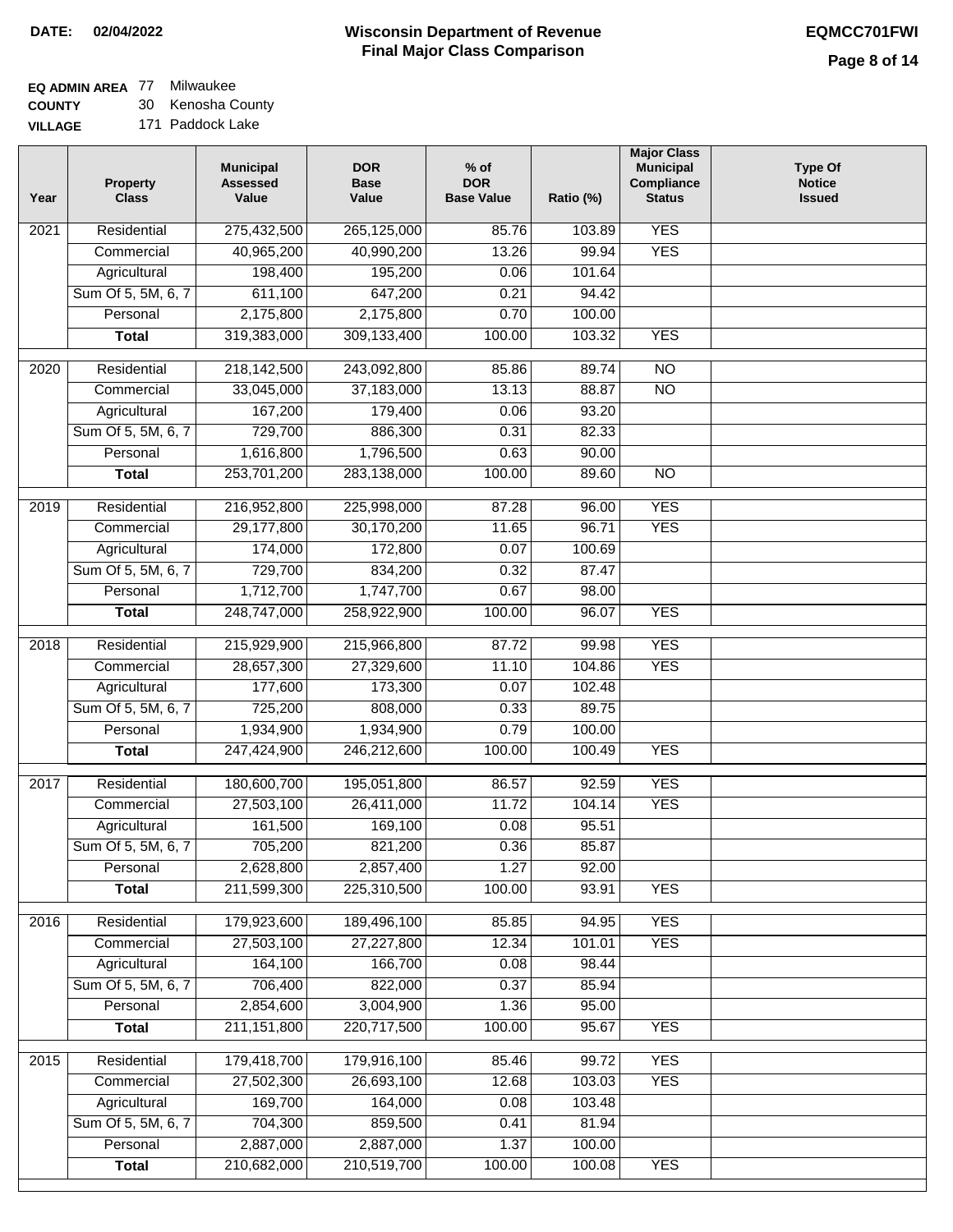## **EQ ADMIN AREA** 77 Milwaukee

**COUNTY VILL** 30 Kenosha County

| .AGE | 171 Paddock Lake |
|------|------------------|
|      |                  |

| Year             | <b>Property</b><br><b>Class</b> | <b>Municipal</b><br><b>Assessed</b><br>Value | <b>DOR</b><br><b>Base</b><br>Value | $%$ of<br><b>DOR</b><br><b>Base Value</b> | Ratio (%)      | <b>Major Class</b><br><b>Municipal</b><br>Compliance<br><b>Status</b> | <b>Type Of</b><br><b>Notice</b><br><b>Issued</b> |
|------------------|---------------------------------|----------------------------------------------|------------------------------------|-------------------------------------------|----------------|-----------------------------------------------------------------------|--------------------------------------------------|
| 2021             | Residential                     | 275,432,500                                  | 265,125,000                        | 85.76                                     | 103.89         | <b>YES</b>                                                            |                                                  |
|                  | Commercial                      | 40,965,200                                   | 40,990,200                         | 13.26                                     | 99.94          | <b>YES</b>                                                            |                                                  |
|                  | Agricultural                    | 198,400                                      | 195,200                            | 0.06                                      | 101.64         |                                                                       |                                                  |
|                  | Sum Of 5, 5M, 6, 7              | 611,100                                      | 647,200                            | 0.21                                      | 94.42          |                                                                       |                                                  |
|                  | Personal                        | 2,175,800                                    | 2,175,800                          | 0.70                                      | 100.00         |                                                                       |                                                  |
|                  | <b>Total</b>                    | 319,383,000                                  | 309,133,400                        | 100.00                                    | 103.32         | <b>YES</b>                                                            |                                                  |
| 2020             | Residential                     | 218,142,500                                  | 243,092,800                        | 85.86                                     | 89.74          | $\overline{10}$                                                       |                                                  |
|                  | Commercial                      | 33,045,000                                   | 37,183,000                         | 13.13                                     | 88.87          | $\overline{NO}$                                                       |                                                  |
|                  | Agricultural                    | 167,200                                      | 179,400                            | 0.06                                      | 93.20          |                                                                       |                                                  |
|                  | Sum Of 5, 5M, 6, 7              | 729,700                                      | 886,300                            | 0.31                                      | 82.33          |                                                                       |                                                  |
|                  | Personal                        |                                              |                                    | 0.63                                      | 90.00          |                                                                       |                                                  |
|                  |                                 | 1,616,800                                    | 1,796,500                          |                                           |                |                                                                       |                                                  |
|                  | <b>Total</b>                    | 253,701,200                                  | 283,138,000                        | 100.00                                    | 89.60          | $\overline{NO}$                                                       |                                                  |
| $\frac{1}{2019}$ | Residential                     | 216,952,800                                  | 225,998,000                        | 87.28                                     | 96.00          | <b>YES</b>                                                            |                                                  |
|                  | Commercial                      | 29,177,800                                   | 30,170,200                         | 11.65                                     | 96.71          | <b>YES</b>                                                            |                                                  |
|                  | Agricultural                    | 174,000                                      | 172,800                            | 0.07                                      | 100.69         |                                                                       |                                                  |
|                  | Sum Of 5, 5M, 6, 7              | 729,700                                      | 834,200                            | 0.32                                      | 87.47          |                                                                       |                                                  |
|                  | Personal                        | 1,712,700                                    | 1,747,700                          | 0.67                                      | 98.00          |                                                                       |                                                  |
|                  | <b>Total</b>                    | 248,747,000                                  | 258,922,900                        | 100.00                                    | 96.07          | <b>YES</b>                                                            |                                                  |
| 2018             | Residential                     | 215,929,900                                  | 215,966,800                        | 87.72                                     | 99.98          | <b>YES</b>                                                            |                                                  |
|                  | Commercial                      | 28,657,300                                   | 27,329,600                         | 11.10                                     | 104.86         | <b>YES</b>                                                            |                                                  |
|                  | Agricultural                    | 177,600                                      | 173,300                            | 0.07                                      | 102.48         |                                                                       |                                                  |
|                  | Sum Of 5, 5M, 6, 7              | 725,200                                      | 808,000                            | 0.33                                      | 89.75          |                                                                       |                                                  |
|                  | Personal                        | 1,934,900                                    | 1,934,900                          | 0.79                                      | 100.00         |                                                                       |                                                  |
|                  | <b>Total</b>                    | 247,424,900                                  | 246,212,600                        | 100.00                                    | 100.49         | <b>YES</b>                                                            |                                                  |
| 2017             | Residential                     |                                              |                                    | 86.57                                     | 92.59          | <b>YES</b>                                                            |                                                  |
|                  | Commercial                      | 180,600,700<br>27,503,100                    | 195,051,800<br>26,411,000          | 11.72                                     | 104.14         | <b>YES</b>                                                            |                                                  |
|                  |                                 | 161,500                                      |                                    | 0.08                                      | 95.51          |                                                                       |                                                  |
|                  | Agricultural                    |                                              | 169,100                            |                                           |                |                                                                       |                                                  |
|                  | Sum Of 5, 5M, 6, 7              | 705,200                                      | 821,200                            | 0.36<br>1.27                              | 85.87<br>92.00 |                                                                       |                                                  |
|                  | Personal<br><b>Total</b>        | 2,628,800<br>211,599,300                     | 2,857,400<br>225,310,500           | 100.00                                    | 93.91          | <b>YES</b>                                                            |                                                  |
|                  |                                 |                                              |                                    |                                           |                |                                                                       |                                                  |
| 2016             | Residential                     | 179,923,600                                  | 189,496,100                        | 85.85                                     | 94.95          | <b>YES</b>                                                            |                                                  |
|                  | Commercial                      | 27,503,100                                   | 27,227,800                         | 12.34                                     | 101.01         | <b>YES</b>                                                            |                                                  |
|                  | Agricultural                    | 164,100                                      | 166,700                            | 0.08                                      | 98.44          |                                                                       |                                                  |
|                  | Sum Of 5, 5M, 6, 7              | 706,400                                      | 822,000                            | 0.37                                      | 85.94          |                                                                       |                                                  |
|                  | Personal                        | 2,854,600                                    | 3,004,900                          | 1.36                                      | 95.00          |                                                                       |                                                  |
|                  | <b>Total</b>                    | 211, 151, 800                                | 220,717,500                        | 100.00                                    | 95.67          | <b>YES</b>                                                            |                                                  |
| 2015             | Residential                     | 179,418,700                                  | 179,916,100                        | 85.46                                     | 99.72          | <b>YES</b>                                                            |                                                  |
|                  | Commercial                      | 27,502,300                                   | 26,693,100                         | 12.68                                     | 103.03         | <b>YES</b>                                                            |                                                  |
|                  | Agricultural                    | 169,700                                      | 164,000                            | 0.08                                      | 103.48         |                                                                       |                                                  |
|                  | Sum Of 5, 5M, 6, 7              | 704,300                                      | 859,500                            | 0.41                                      | 81.94          |                                                                       |                                                  |
|                  | Personal                        | 2,887,000                                    | 2,887,000                          | 1.37                                      | 100.00         |                                                                       |                                                  |
|                  | <b>Total</b>                    | 210,682,000                                  | 210,519,700                        | 100.00                                    | 100.08         | <b>YES</b>                                                            |                                                  |
|                  |                                 |                                              |                                    |                                           |                |                                                                       |                                                  |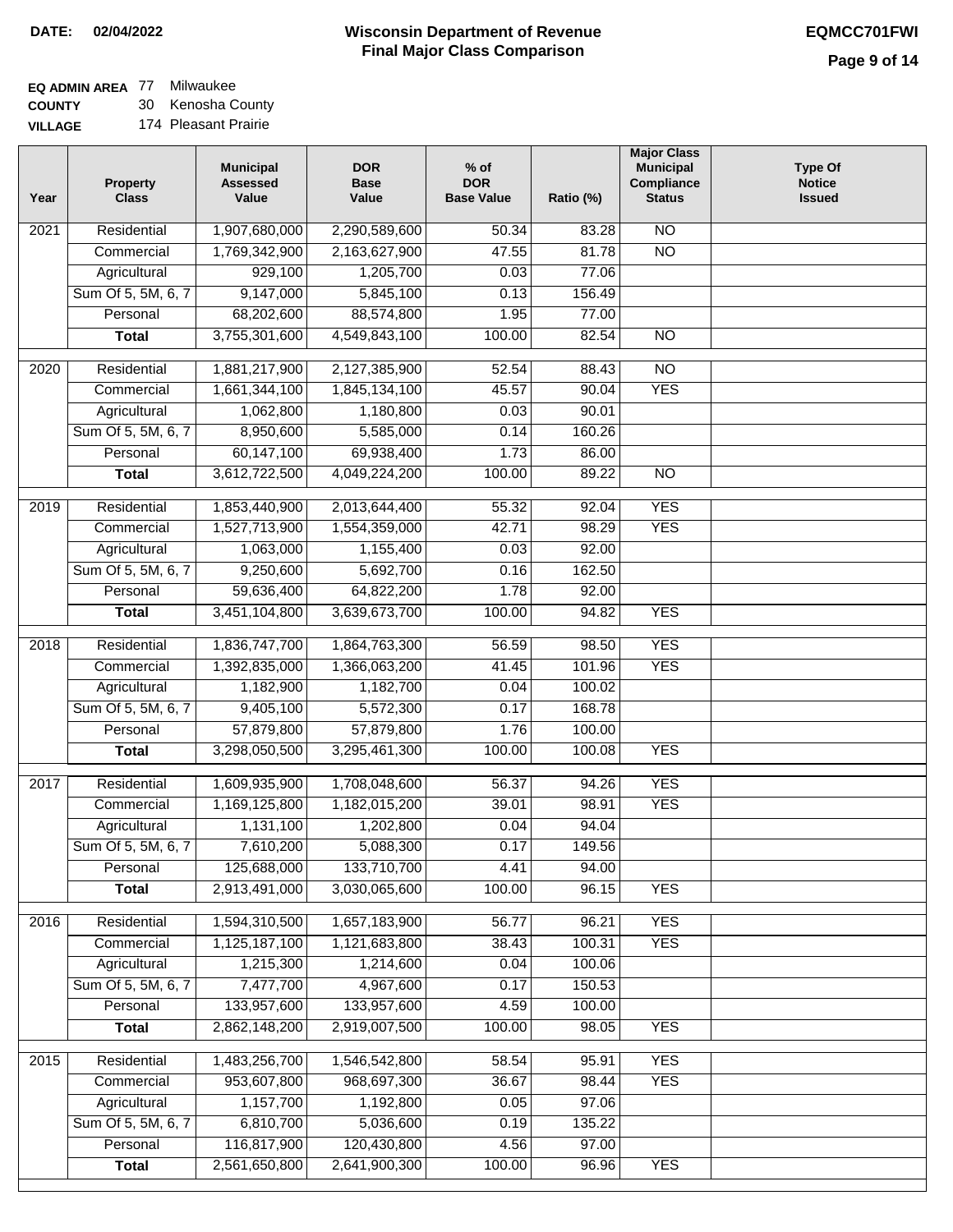# **EQ ADMIN AREA** 77 Milwaukee

**COUNTY VILLAGE** 30 Kenosha County 174 Pleasant Prairie

| Year | <b>Property</b><br><b>Class</b> | <b>Municipal</b><br><b>Assessed</b><br>Value | <b>DOR</b><br><b>Base</b><br>Value | $%$ of<br><b>DOR</b><br><b>Base Value</b> | Ratio (%) | <b>Major Class</b><br><b>Municipal</b><br>Compliance<br><b>Status</b> | <b>Type Of</b><br><b>Notice</b><br><b>Issued</b> |
|------|---------------------------------|----------------------------------------------|------------------------------------|-------------------------------------------|-----------|-----------------------------------------------------------------------|--------------------------------------------------|
| 2021 | Residential                     | 1,907,680,000                                | 2,290,589,600                      | 50.34                                     | 83.28     | $\overline{NO}$                                                       |                                                  |
|      | Commercial                      | 1,769,342,900                                | 2,163,627,900                      | 47.55                                     | 81.78     | $\overline{NO}$                                                       |                                                  |
|      | Agricultural                    | 929,100                                      | 1,205,700                          | 0.03                                      | 77.06     |                                                                       |                                                  |
|      | Sum Of 5, 5M, 6, 7              | 9,147,000                                    | 5,845,100                          | 0.13                                      | 156.49    |                                                                       |                                                  |
|      | Personal                        | 68,202,600                                   | 88,574,800                         | 1.95                                      | 77.00     |                                                                       |                                                  |
|      | <b>Total</b>                    | 3,755,301,600                                | 4,549,843,100                      | 100.00                                    | 82.54     | $\overline{NO}$                                                       |                                                  |
| 2020 | Residential                     | 1,881,217,900                                | 2,127,385,900                      | 52.54                                     | 88.43     | $\overline{NO}$                                                       |                                                  |
|      | Commercial                      | 1,661,344,100                                | 1,845,134,100                      | 45.57                                     | 90.04     | <b>YES</b>                                                            |                                                  |
|      | Agricultural                    | 1,062,800                                    | 1,180,800                          | 0.03                                      | 90.01     |                                                                       |                                                  |
|      | Sum Of 5, 5M, 6, 7              | 8,950,600                                    | 5,585,000                          | 0.14                                      | 160.26    |                                                                       |                                                  |
|      | Personal                        | 60,147,100                                   | 69,938,400                         | 1.73                                      | 86.00     |                                                                       |                                                  |
|      | <b>Total</b>                    | 3,612,722,500                                | 4,049,224,200                      | 100.00                                    | 89.22     | $\overline{NO}$                                                       |                                                  |
|      |                                 |                                              |                                    |                                           |           |                                                                       |                                                  |
| 2019 | Residential                     | 1,853,440,900                                | 2,013,644,400                      | 55.32                                     | 92.04     | <b>YES</b>                                                            |                                                  |
|      | Commercial                      | 1,527,713,900                                | 1,554,359,000                      | 42.71                                     | 98.29     | <b>YES</b>                                                            |                                                  |
|      | Agricultural                    | 1,063,000                                    | 1,155,400                          | 0.03                                      | 92.00     |                                                                       |                                                  |
|      | Sum Of 5, 5M, 6, 7              | 9,250,600                                    | 5,692,700                          | 0.16                                      | 162.50    |                                                                       |                                                  |
|      | Personal                        | 59,636,400                                   | 64,822,200                         | 1.78                                      | 92.00     |                                                                       |                                                  |
|      | <b>Total</b>                    | 3,451,104,800                                | 3,639,673,700                      | 100.00                                    | 94.82     | <b>YES</b>                                                            |                                                  |
| 2018 | Residential                     | 1,836,747,700                                | 1,864,763,300                      | 56.59                                     | 98.50     | <b>YES</b>                                                            |                                                  |
|      | Commercial                      | 1,392,835,000                                | 1,366,063,200                      | 41.45                                     | 101.96    | <b>YES</b>                                                            |                                                  |
|      | Agricultural                    | 1,182,900                                    | 1,182,700                          | 0.04                                      | 100.02    |                                                                       |                                                  |
|      | Sum Of 5, 5M, 6, 7              | 9,405,100                                    | 5,572,300                          | 0.17                                      | 168.78    |                                                                       |                                                  |
|      | Personal                        | 57,879,800                                   | 57,879,800                         | 1.76                                      | 100.00    |                                                                       |                                                  |
|      | <b>Total</b>                    | 3,298,050,500                                | 3,295,461,300                      | 100.00                                    | 100.08    | <b>YES</b>                                                            |                                                  |
| 2017 | Residential                     | 1,609,935,900                                | 1,708,048,600                      | 56.37                                     | 94.26     | <b>YES</b>                                                            |                                                  |
|      | Commercial                      | 1,169,125,800                                | 1,182,015,200                      | 39.01                                     | 98.91     | <b>YES</b>                                                            |                                                  |
|      | Agricultural                    | 1,131,100                                    | 1,202,800                          | 0.04                                      | 94.04     |                                                                       |                                                  |
|      | Sum Of 5, 5M, 6, 7              | 7,610,200                                    | 5,088,300                          | 0.17                                      | 149.56    |                                                                       |                                                  |
|      | Personal                        | 125,688,000                                  | 133,710,700                        | 4.41                                      | 94.00     |                                                                       |                                                  |
|      | <b>Total</b>                    | 2,913,491,000                                | 3,030,065,600                      | 100.00                                    | 96.15     | <b>YES</b>                                                            |                                                  |
| 2016 | Residential                     | 1,594,310,500                                | 1,657,183,900                      | 56.77                                     | 96.21     | <b>YES</b>                                                            |                                                  |
|      | Commercial                      | 1,125,187,100                                | 1,121,683,800                      | 38.43                                     | 100.31    | <b>YES</b>                                                            |                                                  |
|      | Agricultural                    | 1,215,300                                    | 1,214,600                          | 0.04                                      | 100.06    |                                                                       |                                                  |
|      | Sum Of 5, 5M, 6, 7              | 7,477,700                                    | 4,967,600                          | 0.17                                      | 150.53    |                                                                       |                                                  |
|      | Personal                        | 133,957,600                                  | 133,957,600                        | 4.59                                      | 100.00    |                                                                       |                                                  |
|      | <b>Total</b>                    | 2,862,148,200                                | 2,919,007,500                      | 100.00                                    | 98.05     | <b>YES</b>                                                            |                                                  |
| 2015 | Residential                     | 1,483,256,700                                | 1,546,542,800                      | 58.54                                     | 95.91     | <b>YES</b>                                                            |                                                  |
|      | Commercial                      | 953,607,800                                  | 968,697,300                        | 36.67                                     | 98.44     | <b>YES</b>                                                            |                                                  |
|      | Agricultural                    | 1,157,700                                    | 1,192,800                          | 0.05                                      | 97.06     |                                                                       |                                                  |
|      | Sum Of 5, 5M, 6, 7              | 6,810,700                                    | 5,036,600                          | 0.19                                      | 135.22    |                                                                       |                                                  |
|      | Personal                        | 116,817,900                                  | 120,430,800                        | 4.56                                      | 97.00     |                                                                       |                                                  |
|      | <b>Total</b>                    | 2,561,650,800                                | 2,641,900,300                      | 100.00                                    | 96.96     | <b>YES</b>                                                            |                                                  |
|      |                                 |                                              |                                    |                                           |           |                                                                       |                                                  |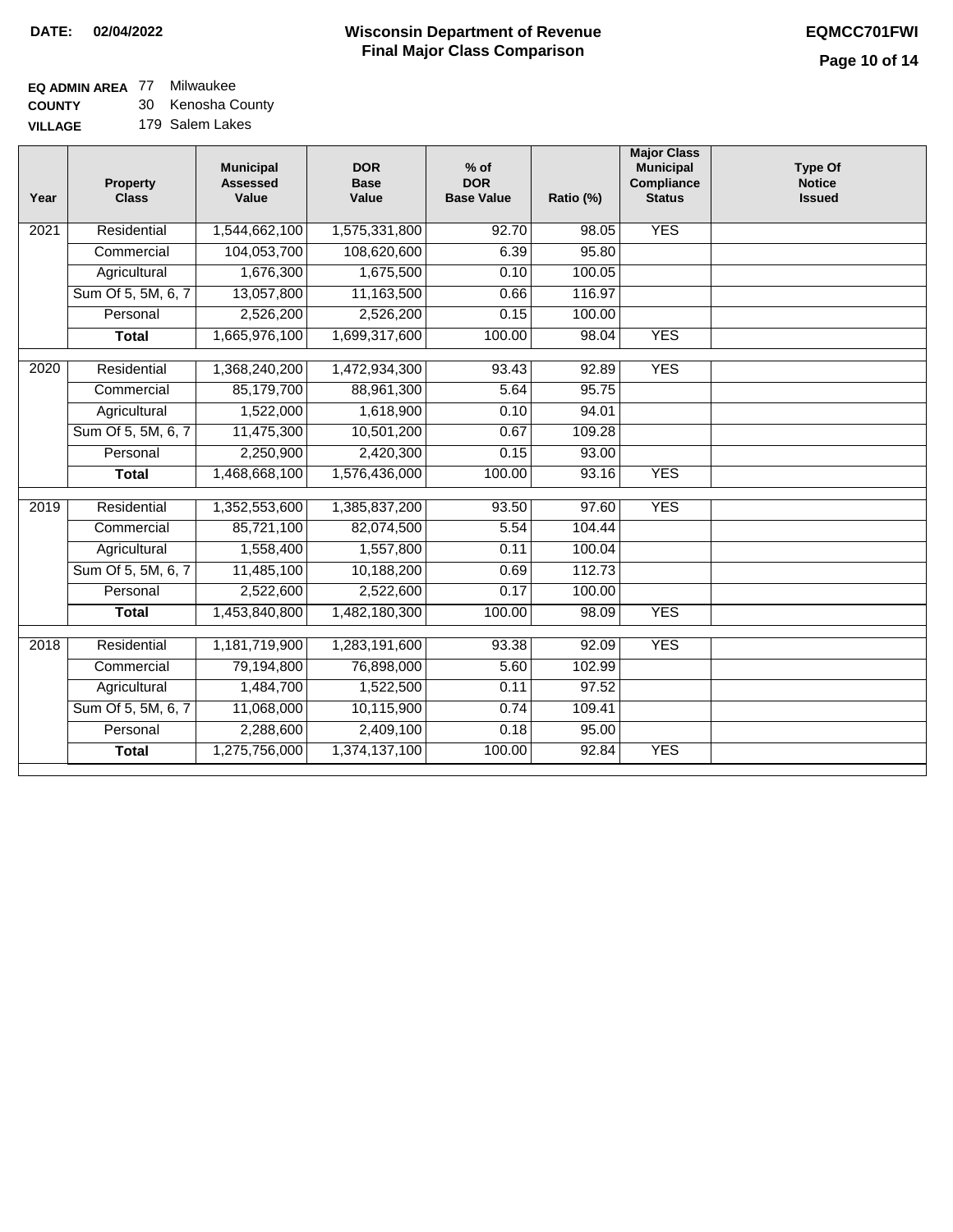# **EQ ADMIN AREA** 77 Milwaukee

**COUNTY VILLAGE** 30 Kenosha County 179 Salem Lakes

| Year               | <b>Property</b><br><b>Class</b> | <b>Municipal</b><br><b>Assessed</b><br>Value | <b>DOR</b><br><b>Base</b><br>Value | $%$ of<br><b>DOR</b><br><b>Base Value</b> | Ratio (%) | <b>Major Class</b><br><b>Municipal</b><br>Compliance<br><b>Status</b> | <b>Type Of</b><br><b>Notice</b><br><b>Issued</b> |
|--------------------|---------------------------------|----------------------------------------------|------------------------------------|-------------------------------------------|-----------|-----------------------------------------------------------------------|--------------------------------------------------|
| 2021               | Residential                     | 1,544,662,100                                | 1,575,331,800                      | 92.70                                     | 98.05     | <b>YES</b>                                                            |                                                  |
|                    | Commercial                      | 104,053,700                                  | 108,620,600                        | 6.39                                      | 95.80     |                                                                       |                                                  |
|                    | Agricultural                    | 1,676,300                                    | 1,675,500                          | 0.10                                      | 100.05    |                                                                       |                                                  |
|                    | Sum Of 5, 5M, 6, 7              | 13,057,800                                   | 11,163,500                         | 0.66                                      | 116.97    |                                                                       |                                                  |
|                    | Personal                        | 2,526,200                                    | 2,526,200                          | 0.15                                      | 100.00    |                                                                       |                                                  |
|                    | <b>Total</b>                    | 1,665,976,100                                | 1,699,317,600                      | 100.00                                    | 98.04     | <b>YES</b>                                                            |                                                  |
| 2020               | Residential                     | 1,368,240,200                                | 1,472,934,300                      | 93.43                                     | 92.89     | <b>YES</b>                                                            |                                                  |
|                    | Commercial                      | 85,179,700                                   | 88,961,300                         | 5.64                                      | 95.75     |                                                                       |                                                  |
|                    | Agricultural                    | 1,522,000                                    | 1,618,900                          | 0.10                                      | 94.01     |                                                                       |                                                  |
|                    | Sum Of 5, 5M, 6, 7              | 11,475,300                                   | 10,501,200                         | 0.67                                      | 109.28    |                                                                       |                                                  |
|                    | Personal                        | 2,250,900                                    | 2,420,300                          | 0.15                                      | 93.00     |                                                                       |                                                  |
|                    | Total                           | 1,468,668,100                                | 1,576,436,000                      | 100.00                                    | 93.16     | <b>YES</b>                                                            |                                                  |
| $\overline{20}$ 19 | Residential                     | 1,352,553,600                                | 1,385,837,200                      | 93.50                                     | 97.60     | <b>YES</b>                                                            |                                                  |
|                    | Commercial                      | 85,721,100                                   | 82,074,500                         | 5.54                                      | 104.44    |                                                                       |                                                  |
|                    | Agricultural                    | 1,558,400                                    | 1,557,800                          | 0.11                                      | 100.04    |                                                                       |                                                  |
|                    | Sum Of 5, 5M, 6, 7              | 11,485,100                                   | 10,188,200                         | 0.69                                      | 112.73    |                                                                       |                                                  |
|                    | Personal                        | 2,522,600                                    | 2,522,600                          | 0.17                                      | 100.00    |                                                                       |                                                  |
|                    | <b>Total</b>                    | 1,453,840,800                                | 1,482,180,300                      | 100.00                                    | 98.09     | <b>YES</b>                                                            |                                                  |
|                    |                                 |                                              |                                    |                                           |           |                                                                       |                                                  |
| 2018               | Residential                     | 1,181,719,900                                | 1,283,191,600                      | 93.38                                     | 92.09     | <b>YES</b>                                                            |                                                  |
|                    | Commercial                      | 79,194,800                                   | 76,898,000                         | 5.60                                      | 102.99    |                                                                       |                                                  |
|                    | Agricultural                    | 1,484,700                                    | 1,522,500                          | 0.11                                      | 97.52     |                                                                       |                                                  |
|                    | Sum Of 5, 5M, 6, 7              | 11,068,000                                   | 10,115,900                         | 0.74                                      | 109.41    |                                                                       |                                                  |
|                    | Personal                        | 2,288,600                                    | 2,409,100                          | 0.18                                      | 95.00     |                                                                       |                                                  |
|                    | <b>Total</b>                    | 1,275,756,000                                | 1,374,137,100                      | 100.00                                    | 92.84     | <b>YES</b>                                                            |                                                  |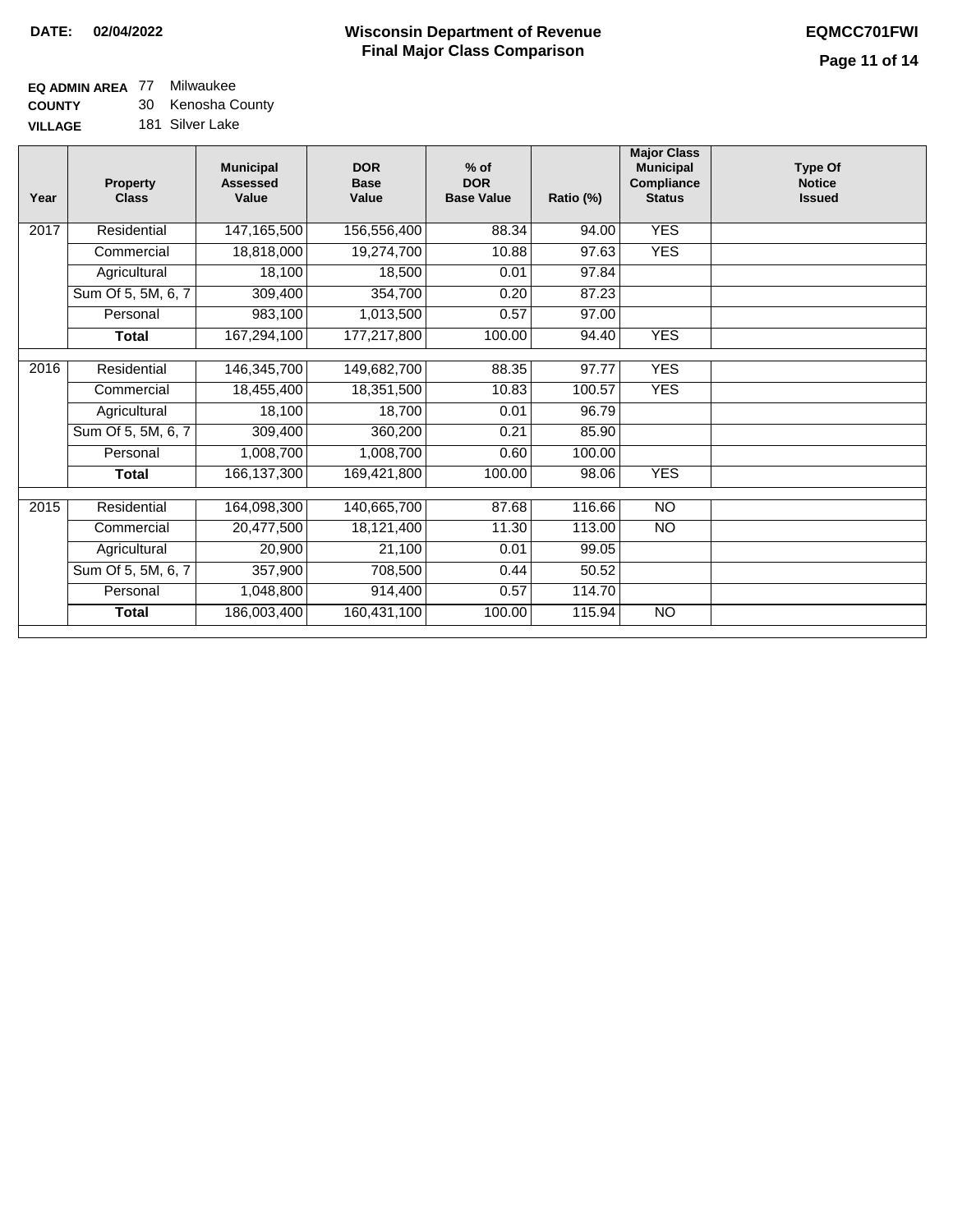### **EQ ADMIN AREA** 77 Milwaukee **COUNTY**

**VILLAGE** 30 Kenosha County 181 Silver Lake

| Year | <b>Property</b><br><b>Class</b> | <b>Municipal</b><br><b>Assessed</b><br>Value | <b>DOR</b><br><b>Base</b><br>Value | $%$ of<br><b>DOR</b><br><b>Base Value</b> | Ratio (%) | <b>Major Class</b><br><b>Municipal</b><br><b>Compliance</b><br><b>Status</b> | <b>Type Of</b><br><b>Notice</b><br><b>Issued</b> |
|------|---------------------------------|----------------------------------------------|------------------------------------|-------------------------------------------|-----------|------------------------------------------------------------------------------|--------------------------------------------------|
| 2017 | Residential                     | 147,165,500                                  | 156,556,400                        | 88.34                                     | 94.00     | <b>YES</b>                                                                   |                                                  |
|      | Commercial                      | 18,818,000                                   | 19,274,700                         | 10.88                                     | 97.63     | <b>YES</b>                                                                   |                                                  |
|      | Agricultural                    | 18,100                                       | 18,500                             | 0.01                                      | 97.84     |                                                                              |                                                  |
|      | Sum Of 5, 5M, 6, 7              | 309,400                                      | 354,700                            | 0.20                                      | 87.23     |                                                                              |                                                  |
|      | Personal                        | 983,100                                      | 1,013,500                          | 0.57                                      | 97.00     |                                                                              |                                                  |
|      | <b>Total</b>                    | 167,294,100                                  | 177,217,800                        | 100.00                                    | 94.40     | <b>YES</b>                                                                   |                                                  |
|      |                                 |                                              |                                    |                                           |           |                                                                              |                                                  |
| 2016 | Residential                     | 146,345,700                                  | 149,682,700                        | 88.35                                     | 97.77     | <b>YES</b>                                                                   |                                                  |
|      | Commercial                      | 18,455,400                                   | 18,351,500                         | 10.83                                     | 100.57    | <b>YES</b>                                                                   |                                                  |
|      | Agricultural                    | 18,100                                       | 18,700                             | 0.01                                      | 96.79     |                                                                              |                                                  |
|      | Sum Of 5, 5M, 6, 7              | 309,400                                      | 360,200                            | 0.21                                      | 85.90     |                                                                              |                                                  |
|      | Personal                        | 1,008,700                                    | 1,008,700                          | 0.60                                      | 100.00    |                                                                              |                                                  |
|      | <b>Total</b>                    | 166,137,300                                  | 169,421,800                        | 100.00                                    | 98.06     | <b>YES</b>                                                                   |                                                  |
|      |                                 |                                              |                                    |                                           |           |                                                                              |                                                  |
| 2015 | Residential                     | 164,098,300                                  | 140,665,700                        | 87.68                                     | 116.66    | $\overline{10}$                                                              |                                                  |
|      | Commercial                      | 20,477,500                                   | 18,121,400                         | 11.30                                     | 113.00    | <b>NO</b>                                                                    |                                                  |
|      | Agricultural                    | 20,900                                       | 21,100                             | 0.01                                      | 99.05     |                                                                              |                                                  |
|      | Sum Of 5, 5M, 6, 7              | 357,900                                      | 708,500                            | 0.44                                      | 50.52     |                                                                              |                                                  |
|      | Personal                        | 1,048,800                                    | 914,400                            | 0.57                                      | 114.70    |                                                                              |                                                  |
|      | <b>Total</b>                    | 186,003,400                                  | 160,431,100                        | 100.00                                    | 115.94    | <b>NO</b>                                                                    |                                                  |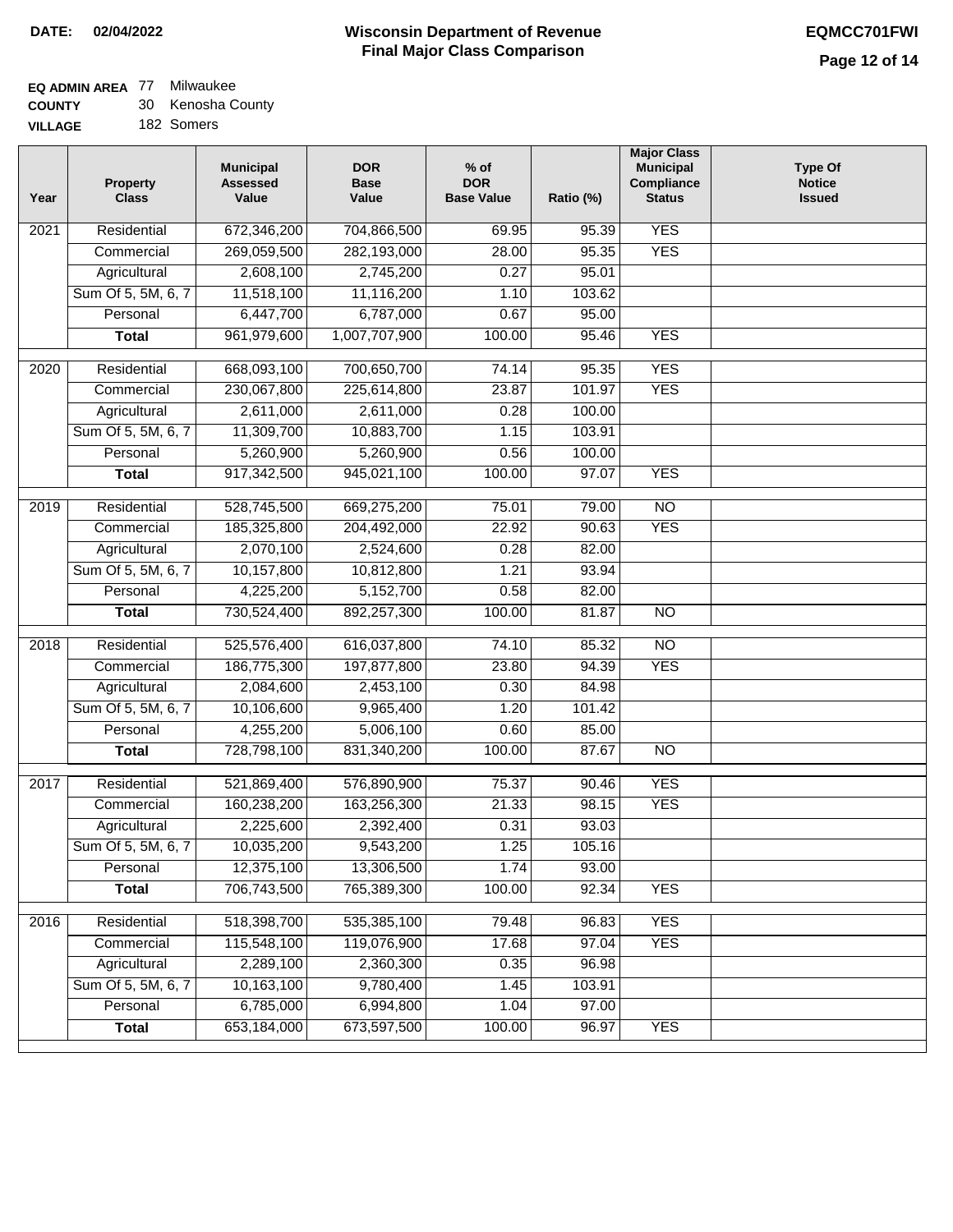### **EQ ADMIN AREA** 77 Milwaukee

| <b>COUNTY</b> | Kenosha County |
|---------------|----------------|
|---------------|----------------|

**VILLAGE** 182 Somers

| Year              | <b>Property</b><br><b>Class</b> | <b>Municipal</b><br><b>Assessed</b><br>Value | <b>DOR</b><br><b>Base</b><br>Value | $%$ of<br><b>DOR</b><br><b>Base Value</b> | Ratio (%) | <b>Major Class</b><br><b>Municipal</b><br>Compliance<br><b>Status</b> | <b>Type Of</b><br><b>Notice</b><br><b>Issued</b> |
|-------------------|---------------------------------|----------------------------------------------|------------------------------------|-------------------------------------------|-----------|-----------------------------------------------------------------------|--------------------------------------------------|
| $\overline{202}1$ | Residential                     | 672,346,200                                  | 704,866,500                        | 69.95                                     | 95.39     | <b>YES</b>                                                            |                                                  |
|                   | Commercial                      | 269,059,500                                  | 282,193,000                        | 28.00                                     | 95.35     | <b>YES</b>                                                            |                                                  |
|                   | Agricultural                    | 2,608,100                                    | 2,745,200                          | 0.27                                      | 95.01     |                                                                       |                                                  |
|                   | Sum Of 5, 5M, 6, 7              | 11,518,100                                   | 11,116,200                         | 1.10                                      | 103.62    |                                                                       |                                                  |
|                   | Personal                        | 6,447,700                                    | 6,787,000                          | 0.67                                      | 95.00     |                                                                       |                                                  |
|                   | <b>Total</b>                    | 961,979,600                                  | 1,007,707,900                      | 100.00                                    | 95.46     | <b>YES</b>                                                            |                                                  |
| 2020              | Residential                     | 668,093,100                                  | 700,650,700                        | 74.14                                     | 95.35     | <b>YES</b>                                                            |                                                  |
|                   | Commercial                      | 230,067,800                                  | 225,614,800                        | 23.87                                     | 101.97    | <b>YES</b>                                                            |                                                  |
|                   | Agricultural                    | 2,611,000                                    | 2,611,000                          | 0.28                                      | 100.00    |                                                                       |                                                  |
|                   | Sum Of 5, 5M, 6, 7              | 11,309,700                                   | 10,883,700                         | 1.15                                      | 103.91    |                                                                       |                                                  |
|                   | Personal                        | 5,260,900                                    | 5,260,900                          | 0.56                                      | 100.00    |                                                                       |                                                  |
|                   | <b>Total</b>                    | 917,342,500                                  | 945,021,100                        | 100.00                                    | 97.07     | <b>YES</b>                                                            |                                                  |
| 2019              | Residential                     | 528,745,500                                  | 669,275,200                        | 75.01                                     | 79.00     | $\overline{10}$                                                       |                                                  |
|                   | Commercial                      | 185,325,800                                  | 204,492,000                        | 22.92                                     | 90.63     | <b>YES</b>                                                            |                                                  |
|                   | Agricultural                    | 2,070,100                                    | 2,524,600                          | 0.28                                      | 82.00     |                                                                       |                                                  |
|                   | Sum Of 5, 5M, 6, 7              | 10,157,800                                   | 10,812,800                         | 1.21                                      | 93.94     |                                                                       |                                                  |
|                   | Personal                        | 4,225,200                                    | 5,152,700                          | 0.58                                      | 82.00     |                                                                       |                                                  |
|                   | <b>Total</b>                    | 730,524,400                                  | 892,257,300                        | 100.00                                    | 81.87     | $\overline{NO}$                                                       |                                                  |
| 2018              | Residential                     | 525,576,400                                  | 616,037,800                        | 74.10                                     | 85.32     | $\overline{10}$                                                       |                                                  |
|                   | Commercial                      | 186,775,300                                  | 197,877,800                        | 23.80                                     | 94.39     | <b>YES</b>                                                            |                                                  |
|                   | Agricultural                    | 2,084,600                                    | 2,453,100                          | 0.30                                      | 84.98     |                                                                       |                                                  |
|                   | Sum Of 5, 5M, 6, 7              | 10,106,600                                   | 9,965,400                          | 1.20                                      | 101.42    |                                                                       |                                                  |
|                   | Personal                        | 4,255,200                                    | 5,006,100                          | 0.60                                      | 85.00     |                                                                       |                                                  |
|                   | <b>Total</b>                    | 728,798,100                                  | 831,340,200                        | 100.00                                    | 87.67     | <b>NO</b>                                                             |                                                  |
| $\overline{2017}$ | Residential                     | 521,869,400                                  | 576,890,900                        | 75.37                                     | 90.46     | <b>YES</b>                                                            |                                                  |
|                   | Commercial                      | 160,238,200                                  | 163,256,300                        | 21.33                                     | 98.15     | <b>YES</b>                                                            |                                                  |
|                   | Agricultural                    | 2,225,600                                    | 2,392,400                          | 0.31                                      | 93.03     |                                                                       |                                                  |
|                   | Sum Of 5, 5M, 6, 7              | 10,035,200                                   | 9,543,200                          | 1.25                                      | 105.16    |                                                                       |                                                  |
|                   | Personal                        | 12,375,100                                   | 13,306,500                         | 1.74                                      | 93.00     |                                                                       |                                                  |
|                   | <b>Total</b>                    | 706,743,500                                  | 765,389,300                        | 100.00                                    | 92.34     | <b>YES</b>                                                            |                                                  |
| 2016              | Residential                     | 518,398,700                                  | 535,385,100                        | 79.48                                     | 96.83     | <b>YES</b>                                                            |                                                  |
|                   | Commercial                      | 115,548,100                                  | 119,076,900                        | 17.68                                     | 97.04     | <b>YES</b>                                                            |                                                  |
|                   | Agricultural                    | 2,289,100                                    | 2,360,300                          | 0.35                                      | 96.98     |                                                                       |                                                  |
|                   | Sum Of 5, 5M, 6, 7              | 10,163,100                                   | 9,780,400                          | 1.45                                      | 103.91    |                                                                       |                                                  |
|                   | Personal                        | 6,785,000                                    | 6,994,800                          | 1.04                                      | 97.00     |                                                                       |                                                  |
|                   | <b>Total</b>                    | 653,184,000                                  | 673,597,500                        | 100.00                                    | 96.97     | <b>YES</b>                                                            |                                                  |
|                   |                                 |                                              |                                    |                                           |           |                                                                       |                                                  |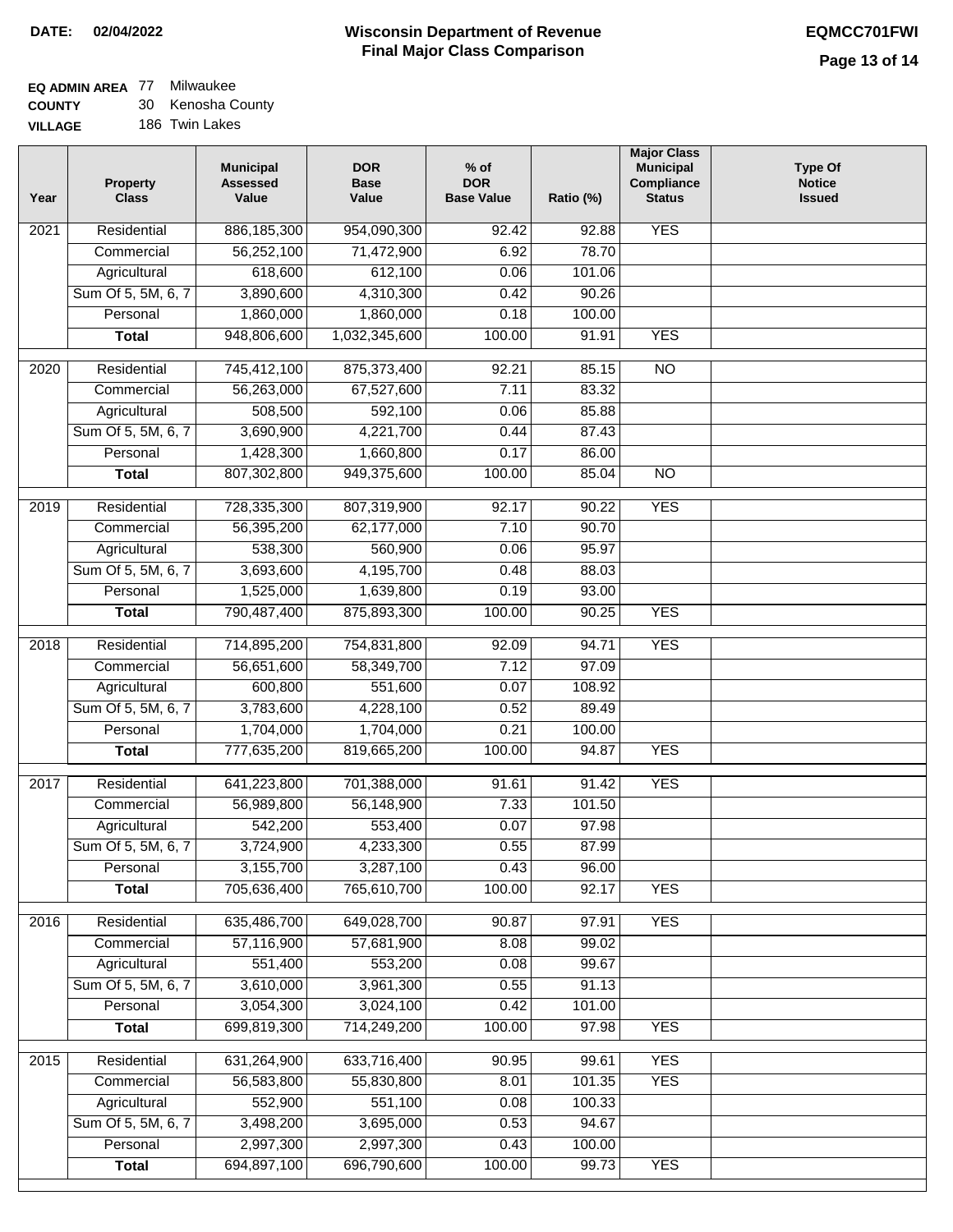# **EQ ADMIN AREA** 77 Milwaukee

**COUNTY VILLAGE** 30 Kenosha County

| ìЕ |  | 186 Twin Lakes |
|----|--|----------------|
|    |  |                |

| Year             | <b>Property</b><br><b>Class</b> | <b>Municipal</b><br><b>Assessed</b><br>Value | <b>DOR</b><br><b>Base</b><br>Value | $%$ of<br><b>DOR</b><br><b>Base Value</b> | Ratio (%) | <b>Major Class</b><br><b>Municipal</b><br>Compliance<br><b>Status</b> | <b>Type Of</b><br><b>Notice</b><br><b>Issued</b> |
|------------------|---------------------------------|----------------------------------------------|------------------------------------|-------------------------------------------|-----------|-----------------------------------------------------------------------|--------------------------------------------------|
| 2021             | Residential                     | 886, 185, 300                                | 954,090,300                        | 92.42                                     | 92.88     | <b>YES</b>                                                            |                                                  |
|                  | Commercial                      | 56,252,100                                   | 71,472,900                         | 6.92                                      | 78.70     |                                                                       |                                                  |
|                  | Agricultural                    | 618,600                                      | 612,100                            | 0.06                                      | 101.06    |                                                                       |                                                  |
|                  | Sum Of 5, 5M, 6, 7              | 3,890,600                                    | 4,310,300                          | 0.42                                      | 90.26     |                                                                       |                                                  |
|                  | Personal                        | 1,860,000                                    | 1,860,000                          | 0.18                                      | 100.00    |                                                                       |                                                  |
|                  | <b>Total</b>                    | 948,806,600                                  | 1,032,345,600                      | 100.00                                    | 91.91     | <b>YES</b>                                                            |                                                  |
| $\frac{1}{2020}$ | Residential                     | 745,412,100                                  | 875,373,400                        | 92.21                                     | 85.15     | $\overline{NO}$                                                       |                                                  |
|                  | Commercial                      | 56,263,000                                   | 67,527,600                         | 7.11                                      | 83.32     |                                                                       |                                                  |
|                  | Agricultural                    | 508,500                                      | 592,100                            | 0.06                                      | 85.88     |                                                                       |                                                  |
|                  | Sum Of 5, 5M, 6, 7              | 3,690,900                                    | 4,221,700                          | 0.44                                      | 87.43     |                                                                       |                                                  |
|                  | Personal                        | 1,428,300                                    | 1,660,800                          | 0.17                                      | 86.00     |                                                                       |                                                  |
|                  | <b>Total</b>                    | 807,302,800                                  | 949,375,600                        | 100.00                                    | 85.04     | $\overline{NO}$                                                       |                                                  |
|                  |                                 |                                              |                                    |                                           |           |                                                                       |                                                  |
| $\frac{1}{2019}$ | Residential                     | 728,335,300                                  | 807,319,900                        | 92.17                                     | 90.22     | <b>YES</b>                                                            |                                                  |
|                  | Commercial                      | 56,395,200                                   | 62,177,000                         | 7.10                                      | 90.70     |                                                                       |                                                  |
|                  | Agricultural                    | 538,300                                      | 560,900                            | 0.06                                      | 95.97     |                                                                       |                                                  |
|                  | Sum Of 5, 5M, 6, 7              | 3,693,600                                    | 4,195,700                          | 0.48                                      | 88.03     |                                                                       |                                                  |
|                  | Personal                        | 1,525,000                                    | 1,639,800                          | 0.19                                      | 93.00     |                                                                       |                                                  |
|                  | <b>Total</b>                    | 790,487,400                                  | 875,893,300                        | 100.00                                    | 90.25     | <b>YES</b>                                                            |                                                  |
| 2018             | Residential                     | 714,895,200                                  | 754,831,800                        | 92.09                                     | 94.71     | <b>YES</b>                                                            |                                                  |
|                  | Commercial                      | 56,651,600                                   | 58,349,700                         | 7.12                                      | 97.09     |                                                                       |                                                  |
|                  | Agricultural                    | 600,800                                      | 551,600                            | 0.07                                      | 108.92    |                                                                       |                                                  |
|                  | Sum Of 5, 5M, 6, 7              | 3,783,600                                    | 4,228,100                          | 0.52                                      | 89.49     |                                                                       |                                                  |
|                  | Personal                        | 1,704,000                                    | 1,704,000                          | 0.21                                      | 100.00    |                                                                       |                                                  |
|                  | <b>Total</b>                    | 777,635,200                                  | 819,665,200                        | 100.00                                    | 94.87     | <b>YES</b>                                                            |                                                  |
| 2017             | Residential                     | 641,223,800                                  | 701,388,000                        | 91.61                                     | 91.42     | <b>YES</b>                                                            |                                                  |
|                  | Commercial                      | 56,989,800                                   | 56,148,900                         | 7.33                                      | 101.50    |                                                                       |                                                  |
|                  | Agricultural                    | 542,200                                      | 553,400                            | 0.07                                      | 97.98     |                                                                       |                                                  |
|                  | Sum Of 5, 5M, 6, 7              | 3,724,900                                    | 4,233,300                          | 0.55                                      | 87.99     |                                                                       |                                                  |
|                  | Personal                        | 3,155,700                                    | 3,287,100                          | 0.43                                      | 96.00     |                                                                       |                                                  |
|                  | <b>Total</b>                    | 705,636,400                                  | 765,610,700                        | 100.00                                    | 92.17     | <b>YES</b>                                                            |                                                  |
| 2016             | Residential                     | 635,486,700                                  | 649,028,700                        | 90.87                                     | 97.91     | <b>YES</b>                                                            |                                                  |
|                  | Commercial                      | 57,116,900                                   | 57,681,900                         | 8.08                                      | 99.02     |                                                                       |                                                  |
|                  | Agricultural                    | 551,400                                      | 553,200                            | 0.08                                      | 99.67     |                                                                       |                                                  |
|                  | Sum Of 5, 5M, 6, 7              | 3,610,000                                    | 3,961,300                          | 0.55                                      | 91.13     |                                                                       |                                                  |
|                  | Personal                        | 3,054,300                                    | 3,024,100                          | 0.42                                      | 101.00    |                                                                       |                                                  |
|                  | <b>Total</b>                    | 699,819,300                                  | 714,249,200                        | 100.00                                    | 97.98     | <b>YES</b>                                                            |                                                  |
| 2015             | Residential                     | 631,264,900                                  | 633,716,400                        | 90.95                                     | 99.61     | <b>YES</b>                                                            |                                                  |
|                  | Commercial                      | 56,583,800                                   | 55,830,800                         | 8.01                                      | 101.35    | <b>YES</b>                                                            |                                                  |
|                  | Agricultural                    | 552,900                                      | 551,100                            | 0.08                                      | 100.33    |                                                                       |                                                  |
|                  | Sum Of 5, 5M, 6, 7              | 3,498,200                                    | 3,695,000                          | 0.53                                      | 94.67     |                                                                       |                                                  |
|                  | Personal                        | 2,997,300                                    | 2,997,300                          | 0.43                                      | 100.00    |                                                                       |                                                  |
|                  | <b>Total</b>                    | 694,897,100                                  | 696,790,600                        | 100.00                                    | 99.73     | <b>YES</b>                                                            |                                                  |